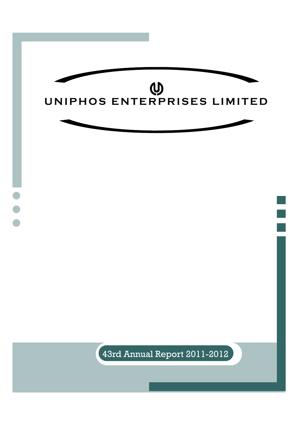

 $\left($ 43rd Annual Report 2011-2012  $\right)$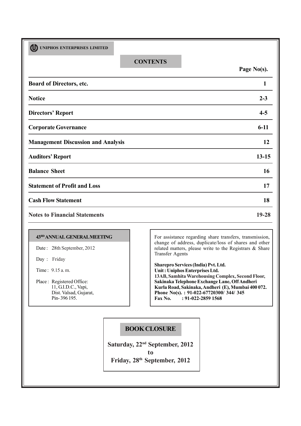| <b>ர</b><br>UNIPHOS ENTERPRISES LIMITED   |                 |             |
|-------------------------------------------|-----------------|-------------|
|                                           | <b>CONTENTS</b> | Page No(s). |
| Board of Directors, etc.                  |                 | 1           |
| <b>Notice</b>                             |                 | $2 - 3$     |
| <b>Directors' Report</b>                  |                 | $4 - 5$     |
| <b>Corporate Governance</b>               |                 | $6-11$      |
| <b>Management Discussion and Analysis</b> |                 | 12          |
| <b>Auditors' Report</b>                   |                 | $13 - 15$   |
| <b>Balance Sheet</b>                      |                 | 16          |
| <b>Statement of Profit and Loss</b>       |                 | 17          |
| <b>Cash Flow Statement</b>                |                 | 18          |
| <b>Notes to Financial Statements</b>      |                 | 19-28       |
|                                           |                 |             |

## **43RDANNUAL GENERAL MEETING**

Date: 28th September, 2012

Day :Friday

Time : 9.15 a. m.

Place : Registered Office: 11, G.I.D.C., Vapi, Dist. Valsad, Gujarat, Pin- 396 195.

For assistance regarding share transfers, transmission, change of address, duplicate/loss of shares and other related matters, please write to the Registrars & Share Transfer Agents

**Sharepro Services (India) Pvt. Ltd. Unit : Uniphos Enterprises Ltd. 13AB, Samhita Warehousing Complex, Second Floor, Sakinaka Telephone Exchange Lane, Off Andheri Kurla Road, Sakinaka, Andheri (E), Mumbai 400 072. Phone No(s). : 91-022-67720300/ 344/ 345<br>Fax No. : 91-022-2859 1568 Fax No. : 91-022-2859 1568**

# **BOOK CLOSURE**

**Saturday, 22nd September, 2012 to Friday, 28th September, 2012**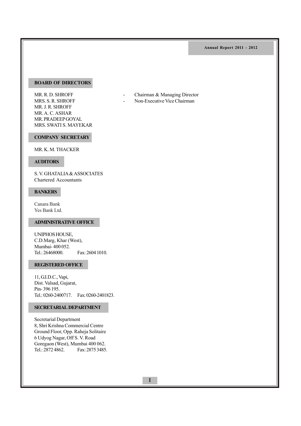## **BOARD OF DIRECTORS**

MR. R. D. SHROFF - Chairman & Managing Director MRS. S. R. SHROFF - Non-Executive Vice Chairman MR. J. R. SHROFF MR. A. C. ASHAR MR. PRADEEP GOYAL MRS. SWATI S. MAYEKAR

## **COMPANY SECRETARY**

MR. K. M. THACKER

#### **AUDITORS**

S. V. GHATALIA & ASSOCIATES Chartered Accountants

## **BANKERS**

Canara Bank Yes Bank Ltd.

## **ADMINISTRATIVE OFFICE**

UNIPHOS HOUSE, C.D.Marg, Khar (West), Mumbai- 400 052. Tel.: 26468000. Fax: 2604 1010.

## **REGISTERED OFFICE**

11, G.I.D.C., Vapi, Dist. Valsad, Gujarat, Pin- 396 195. Tel.: 0260-2400717. Fax: 0260-2401823.

## **SECRETARIAL DEPARTMENT**

Secretarial Department 8, Shri Krishna Commercial Centre Ground Floor, Opp. Raheja Solitaire 6 Udyog Nagar, Off S. V. Road Goregaon (West), Mumbai 400 062. Tel.: 2872 4862. Fax: 2875 3485.

- 
-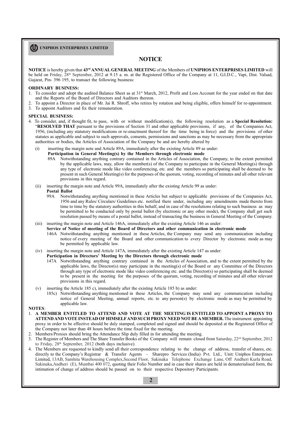## **NOTICE**

**NOTICE** is hereby given that **43rd ANNUAL GENERAL MEETING** of the Members of **UNIPHOS ENTERPRISES LIMITED** will be held on Friday, 28<sup>th</sup> September, 2012 at 9.15 a.m. at the Registered Office of the Company at 11, G.I.D.C., Vapi, Dist. Valsad, Gujarat, Pin- 396 195, to transact the following business:

#### **ORDINARY BUSINESS:**

- 1. To consider and adopt the audited Balance Sheet as at 31st March, 2012, Profit and Loss Account for the year ended on that date and the Reports of the Board of Directors and Auditors thereon.
- 2. To appoint a Director in place of Mr. Jai R. Shroff, who retires by rotation and being eligible, offers himself for re-appointment. 3. To appoint Auditors and fix their remuneration.
- 

#### **SPECIAL BUSINESS:**

- 4. To consider, and, if thought fit, to pass, with or without modification(s), the following resolution as a **Special Resolution:** "**RESOLVED THAT** pursuant to the provisions of Section 31 and other applicable provisions, if any, of the Companies Act, 1956, (including any statutory modifications or re-enactment thereof for the time being in force) and the provisions of other statutes as applicable and subject to such approvals, consents, permissions and sanctions as may be necessary from the appropriate authorities or bodies, the Articles of Association of the Company be and are hereby altered by
	- (i) inserting the margin note and Article 89A, immediately after the existing Article 89 as under:
		- **Participation in General Meeting(s) by the Members through electronic mode**
			- 89A Notwithstanding anything contrary contained in the Articles of Association, the Company, to the extent permitted by the applicable laws, may, allow the member(s) of the Company to participate in the General Meeting(s) through any type of electronic mode like video conferencing, etc. and the members so participating shall be deemed to be present in such General Meeting(s) for the purposes of the quorum, voting, recording of minutes and all other relevant provisions in this regard.
	- (ii) inserting the margin note and Article 99A, immediately after the existing Article 99 as under:

# **Postal Ballot**<br>99A Notwit

- Notwithstanding anything mentioned in these Articles but subject to applicable provisions of the Companies Act, 1956 and any Rules/ Circulars/ Guidelines etc. notified there under, including any amendments made thereto from time to time by the statutory authorities in this behalf, and in case of the resolutions relating to such business as may be permitted to be conducted only by postal ballot (by electronic or any other mode), the Company shall get such resolution passed by means of a postal ballot, instead of transacting the business in General Meeting of the Company.
- (iii) inserting the margin note and Article 146A, immediately after the existing Article 146 as under:
	- **Service of Notice of meeting of the Board of Directors and other communication in electronic mode**
		- 146A Notwithstanding anything mentioned in these Articles, the Company may send any communication including notice of every meeting of the Board and other communication to every Director by electronic mode as may be permitted by applicable law.
- (iv) inserting the margin note and Article 147A, immediately after the existing Article 147 as under:
	- **Participation in Directors' Meeting by the Directors through electronic mode**
	- 147A Notwithstanding anything contrary contained in the Articles of Association, and to the extent permitted by the applicable laws, the Director(s) may participate in the meeting(s) of the Board or any Committee of the Directors through any type of electronic mode like video conferencing etc. and the Director(s) so participating shall be deemed to be present in the meeting for the purposes of the quorum, voting, recording of minutes and all other relevant provisions in this regard.
- (v) inserting the Article 185 c), immediately after the existing Article 185 b) as under:
	- 185c) Notwithstanding anything mentioned in these Articles, the Company may send any communication including notice of General Meeting, annual reports, etc. to any person(s) by electronic mode as may be permitted by applicable law.

#### **NOTES**:

- 1. **A MEMBER ENTITLED TO ATTEND AND VOTE AT THE MEETING IS ENTITLED TO APPOINT A PROXY TO ATTEND AND VOTE INSTEAD OF HIMSELFAND SUCH PROXY NEED NOT BE A MEMBER.** The instrument appointing proxy in order to be effective should be duly stamped, completed and signed and should be deposited at the Registered Office of the Company not later than 48 hours before the time fixed for the meeting.
- 2. Members/Proxies should bring the Attendance Slip duly filled in for attending the meeting.
- 3. The Register of Members and The Share Transfer Books of the Company will remain closed from Saturday, 22nd September, 2012 to Friday, 28<sup>th</sup> September, 2012 (both days inclusive).
- 4. The Members are requested to kindly send all their correspondence relating to the change of address, transfer of shares, etc. directly to the Company's Registrar & Transfer Agents – Sharepro Services (India) Pvt. Ltd., Unit: Uniphos Enterprises Limited, 13AB, Samhita Warehousing Complex,Second Floor, Sakinaka Telephone Exchange Lane, Off Andheri Kurla Road, Sakinaka,Andheri (E), Mumbai 400 072, quoting their Folio Number and in case their shares are held in dematerialised form, the intimation of change of address should be passed on to their respective Depository Participants.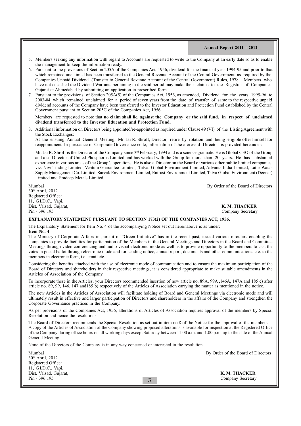- 5. Members seeking any information with regard to Accounts are requested to write to the Company at an early date so as to enable the management to keep the information ready.
- 6. Pursuant to the provisions of Section 205A of the Companies Act, 1956, dividend for the financial year 1994-95 and prior to that which remained unclaimed has been transferred to the General Revenue Account of the Central Government as required by the Companies Unpaid Dividend (Transfer to General Revenue Account of the Central Government) Rules, 1978. Members who have not encashed the Dividend Warrants pertaining to the said period may make their claims to the Registrar of Companies, Gujarat at Ahmedabad by submitting an application in prescribed form.
- 7. Pursuant to the provisions of Section 205A(5) of the Companies Act, 1956, as amended, Dividend for the years 1995-96 to 2003-04 which remained unclaimed for a period of seven years from the date of transfer of same to the respective unpaid dividend accounts of the Company have been transferred to the Investor Education and Protection Fund established by the Central Government pursuant to Section 205C of the Companies Act, 1956.

Members are requested to note that **no claim shall lie, against the Company or the said fund, in respect of unclaimed dividend transferred to the Investor Education and Protection Fund.**

8. Additional information on Directors being appointed/re-appointed as required under Clause 49 (VI) of the Listing Agreement with the Stock Exchanges:

At the ensuing Annual General Meeting, Mr. Jai R. Shroff, Director, retire by rotation and being eligible offer himself for reappointment. In pursuance of Corporate Governance code, information of the aforesaid Director is provided hereunder:

Mr. Jai R. Shroff is the Director of the Company since 3rd February, 1994 and is a science graduate. He is Global CEO of the Group and also Director of United Phosphorus Limited and has worked with the Group for more than 20 years. He has substantial experience in various areas of the Group's operations. He is also a Director on the Board of various other public limited companies, viz. Nivi Trading Limited, Ventura Guarantee Limited, Tatva Global Environment Limited, Advanta India Limited, Latur Water Supply Management Co. Limited, Sarvak Environment Limited, Entrust Environment Limited, Tatva Global Environment (Deonar) Limited and Pradeep Metals Limited.

Mumbai By Order of the Board of Directors

30th April, 2012 Registered Office: 11, G.I.D.C., Vapi, Dist. Valsad, Gujarat, **K. M. THACKER** Pin - 396 195. Company Secretary

#### **EXPLANATORY STATEMENT PURSUANT TO SECTION 173(2) OF THE COMPANIES ACT, 1956.**

The Explanatory Statement for Item No. 4 of the accompanying Notice set out hereinabove is as under: **Item No. 4**

The Ministry of Corporate Affairs in pursuit of "Green Initiative" has in the recent past, issued various circulars enabling the companies to provide facilities for participation of the Members in the General Meetings and Directors in the Board and Committee Meetings through video conferencing and audio visual electronic mode as well as to provide opportunity to the members to cast the votes in postal ballot through electronic mode and for sending notice, annual report, documents and other communications, etc. to the members in electronic form, i.e. email etc..

Considering the benefits attached with the use of electronic mode of communication and to ensure the maximum participation of the Board of Directors and shareholders in their respective meetings, it is considered appropriate to make suitable amendments in the Articles of Association of the Company.

To incorporate these in the Articles, your Directors recommended insertion of new article no. 89A, 99A ,146A, 147A and 185 c) after article no. 89, 99, 146, 147 and185 b) respectively of the Articles of Association carrying the matter as mentioned in the notice.

The new Articles in the Articles of Association will facilitate holding of Board and General Meetings via electronic mode and will ultimately result in effective and larger participation of Directors and shareholders in the affairs of the Company and strengthen the Corporate Governance practices in the Company.

As per provisions of the Companies Act, 1956, alterations of Articles of Association requires approval of the members by Special Resolution and hence the resolutions.

The Board of Directors recommends the Special Resolution as set out in item no.8 of the Notice for the approval of the members. A copy of the Articles of Association of the Company showing proposed alterations is available for inspection at the Registered Office of the Company during office hours on all working days except Saturday between 11.00 a.m. and 1.00 p.m. up to the date of the Annual General Meeting.

None of the Directors of the Company is in any way concerned or interested in the resolution.

| Mumbai                 | By Order of the Board of Directors |
|------------------------|------------------------------------|
| $30th$ April, 2012     |                                    |
| Registered Office:     |                                    |
| 11, G.I.D.C., Vapi,    |                                    |
| Dist. Valsad, Gujarat, | K. M. THACKER                      |
| Pin - 396 195.         | Company Secretary                  |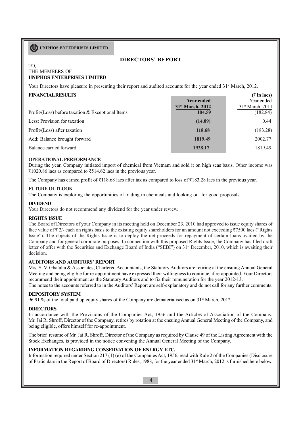## **DIRECTORS' REPORT**

#### TO, THE MEMBERS OF **UNIPHOS ENTERPRISES LIMITED**

Your Directors have pleasure in presenting their report and audited accounts for the year ended 31<sup>st</sup> March, 2012.

| <b>FINANCIAL RESULTS</b><br>Profit/(Loss) before taxation $&$ Exceptional Items | <b>Year ended</b><br>31 <sup>st</sup> March, 2012<br>104.59 | $($ ₹ in lacs)<br>Year ended<br>31 <sup>st</sup> March, 2011<br>(182.84) |
|---------------------------------------------------------------------------------|-------------------------------------------------------------|--------------------------------------------------------------------------|
| Less: Provision for taxation                                                    | (14.09)                                                     | 0.44                                                                     |
| Profit/(Loss) after taxation                                                    | 118.68                                                      | (183.28)                                                                 |
| Add: Balance brought forward                                                    | 1819.49                                                     | 2002.77                                                                  |
| Balance carried forward                                                         | 1938.17                                                     | 1819.49                                                                  |

## **OPERATIONAL PERFORMANCE**

During the year, Company initiated import of chemical from Vietnam and sold it on high seas basis. Other income was  $\overline{51020.86}$  lacs as compared to  $\overline{5514.62}$  lacs in the previous year.

The Company has earned profit of  $\overline{5}118.68$  lacs after tax as compared to loss of  $\overline{5}183.28$  lacs in the previous year.

## **FUTURE OUTLOOK**

The Company is exploring the opportunities of trading in chemicals and looking out for good proposals.

## **DIVIDEND**

Your Directors do not recommend any dividend for the year under review.

## **RIGHTS ISSUE**

The Board of Directors of your Company in its meeting held on December 23, 2010 had approved to issue equity shares of face value of  $\bar{\tau}$  2/- each on rights basis to the existing equity shareholders for an amount not exceeding  $\bar{\tau}$ 7500 lacs ("Rights") Issue"). The objects of the Rights Issue is to deploy the net proceeds for repayment of certain loans availed by the Company and for general corporate purposes. In connection with this proposed Rights Issue, the Company has filed draft letter of offer with the Securities and Exchange Board of India ("SEBI") on 31st December, 2010, which is awaiting their decision.

## **AUDITORS AND AUDITORS' REPORT**

M/s. S. V. Ghatalia & Associates, Chartered Accountants, the Statutory Auditors are retiring at the ensuing Annual General Meeting and being eligible for re-appointment have expressed their willingness to continue, if re-appointed. Your Directors recommend their appointment as the Statutory Auditors and to fix their remuneration for the year 2012-13. The notes to the accounts referred to in the Auditors' Report are self-explanatory and do not call for any further comments.

## **DEPOSITORY SYSTEM**

96.91 % of the total paid up equity shares of the Company are dematerialised as on  $31<sup>st</sup>$  March, 2012.

## **DIRECTORS**

In accordance with the Provisions of the Companies Act, 1956 and the Articles of Association of the Company, Mr. Jai R. Shroff, Director of the Company, retires by rotation at the ensuing Annual General Meeting of the Company, and being eligible, offers himself for re-appointment.

The brief resume of Mr. Jai R. Shroff, Director of the Company as required by Clause 49 of the Listing Agreement with the Stock Exchanges, is provided in the notice convening the Annual General Meeting of the Company.

## **INFORMATION REGARDING CONSERVATION OF ENERGY ETC.**

Information required under Section 217 (1) (e) of the Companies Act, 1956, read with Rule 2 of the Companies (Disclosure of Particulars in the Report of Board of Directors) Rules, 1988, for the year ended 31<sup>st</sup> March, 2012 is furnished here below.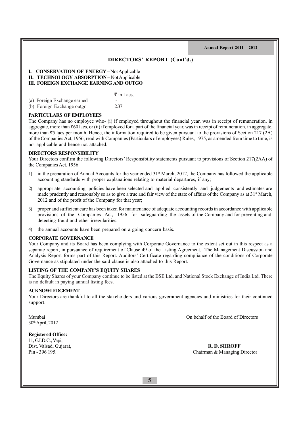## **DIRECTORS' REPORT (Cont'd.)**

# **I. CONSERVATION OF ENERGY** – Not Applicable **II. TECHNOLOGY ABSORPTION – Not Applicable**

## **III. FOREIGN EXCHANGE EARNING AND OUTGO**

|                             | $\bar{\bar{\tau}}$ in Lacs. |
|-----------------------------|-----------------------------|
| (a) Foreign Exchange earned | -                           |
| (b) Foreign Exchange outgo  | 2.37                        |

## **PARTICULARS OF EMPLOYEES**

The Company has no employee who- (i) if employed throughout the financial year, was in receipt of remuneration, in aggregate, more than  $\bar{c}60$  lacs, or (ii) if employed for a part of the financial year, was in receipt of remuneration, in aggregate, more than  $\overline{5}$  lacs per month. Hence, the information required to be given pursuant to the provisions of Section 217 (2A) of the Companies Act, 1956, read with Companies (Particulars of employees) Rules, 1975, as amended from time to time, is not applicable and hence not attached.

#### **DIRECTORS RESPONSIBILITY**

Your Directors confirm the following Directors' Responsibility statements pursuant to provisions of Section 217(2AA) of the Companies Act, 1956:

- 1) in the preparation of Annual Accounts for the year ended  $31<sup>st</sup>$  March, 2012, the Company has followed the applicable accounting standards with proper explanations relating to material departures, if any;
- 2) appropriate accounting policies have been selected and applied consistently and judgements and estimates are made prudently and reasonably so as to give a true and fair view of the state of affairs of the Company as at  $31<sup>st</sup>$  March, 2012 and of the profit of the Company for that year;
- 3) proper and sufficient care has been taken for maintenance of adequate accounting records in accordance with applicable provisions of the Companies Act, 1956 for safeguarding the assets of the Company and for preventing and detecting fraud and other irregularities;
- 4) the annual accounts have been prepared on a going concern basis.

#### **CORPORATE GOVERNANCE**

Your Company and its Board has been complying with Corporate Governance to the extent set out in this respect as a separate report, in pursuance of requirement of Clause 49 of the Listing Agreement. The Management Discussion and Analysis Report forms part of this Report. Auditors' Certificate regarding compliance of the conditions of Corporate Governance as stipulated under the said clause is also attached to this Report.

## **LISTING OF THE COMPANY'S EQUITY SHARES**

The Equity Shares of your Company continue to be listed at the BSE Ltd. and National Stock Exchange of India Ltd. There is no default in paying annual listing fees.

#### **ACKNOWLEDGEMENT**

Your Directors are thankful to all the stakeholders and various government agencies and ministries for their continued support.

30thApril, 2012

Mumbai On behalf of the Board of Directors

#### **Registered Office:**

11, G.I.D.C., Vapi,

Dist. Valsad, Gujarat, **R. D. SHROFF**<br>
Pin - 396 195. **Chairman & Managing** Chairman & Managing Director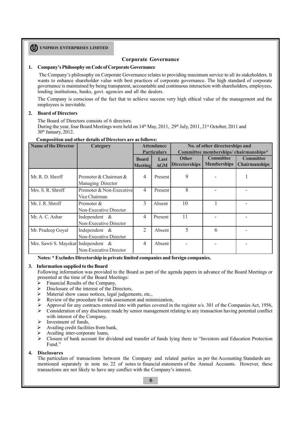## **Corporate Governance**

#### **1. Company's Philosophy on Code of Corporate Governance**

The Company's philosophy on Corporate Governance relates to providing maximum service to all its stakeholders. It wants to enhance shareholder value with best practices of corporate governance. The high standard of corporate governance is maintained by being transparent, accountable and continuous interaction with shareholders, employees, lending institutions, banks, govt. agencies and all the dealers.

The Company is conscious of the fact that to achieve success very high ethical value of the management and the employees is inevitable.

#### **2. Board of Directors**

The Board of Directors consists of 6 directors.

During the year, four Board Meetings were held on  $14<sup>th</sup>$  May, 2011, 29<sup>th</sup> July, 2011, 21<sup>st</sup> October, 2011 and 30<sup>th</sup> January, 2012.

#### **Composition and other details of Directors are as follows:**

| <b>Name of the Director</b>         | Category                                   | <b>Attendance</b> |                    | No. of other directorships and       |                    |                      |
|-------------------------------------|--------------------------------------------|-------------------|--------------------|--------------------------------------|--------------------|----------------------|
|                                     |                                            |                   | <b>Particulars</b> | Committee memberships/chairmanships* |                    |                      |
|                                     |                                            | <b>Board</b>      | Last               | <b>Other</b>                         | <b>Committee</b>   | <b>Committee</b>     |
|                                     |                                            | <b>Meeting</b>    | <b>AGM</b>         | <b>Directorships</b>                 | <b>Memberships</b> | <b>Chairmanships</b> |
| Mr. R. D. Shroff                    | Promoter & Chairman &<br>Managing Director | 4                 | Present            | 9                                    |                    |                      |
| Mrs. S. R. Shroff                   | Promoter & Non-Executive                   | $\overline{4}$    | Present            | $\overline{8}$                       |                    |                      |
|                                     | Vice Chairman                              |                   |                    |                                      |                    |                      |
| Mr. J. R. Shroff                    | Promoter $&$                               | 3                 | Absent             | 10                                   |                    |                      |
|                                     | Non-Executive Director                     |                   |                    |                                      |                    |                      |
| Mr. A. C. Ashar                     | Independent $\&$                           | 4                 | Present            | 11                                   |                    |                      |
|                                     | Non-Executive Director                     |                   |                    |                                      |                    |                      |
| Mr. Pradeep Goyal                   | Independent $\&$                           | 2                 | Absent             | 5                                    | 6                  |                      |
|                                     | Non-Executive Director                     |                   |                    |                                      |                    |                      |
| Mrs. Sawti S. Mayekar Independent & |                                            | 4                 | Absent             |                                      |                    |                      |
|                                     | Non-Executive Director                     |                   |                    |                                      |                    |                      |

**Notes: \* Excludes Directorship in private limited companies and foreign companies.**

#### **3. Information supplied to the Board**

Following information was provided to the Board as part of the agenda papers in advance of the Board Meetings or presented at the time of the Board Meetings:

- Financial Results of the Company,
- $\triangleright$  Disclosure of the interest of the Directors,
- $\triangleright$  Material show cause notices, legal judgements, etc.,
- $\triangleright$  Review of the procedure for risk assessment and minimization,
- Ø Approval for any contracts entered into with parties covered in the register u/s. 301 of the Companies Act, 1956,
- $\triangleright$  Consideration of any disclosure made by senior management relating to any transaction having potential conflict with interest of the Company,
- $\triangleright$  Investment of funds.
- $\triangleright$  Availing credit facilities from bank,
- $\triangleright$  Availing inter-corporate loans,<br> $\triangleright$  Closure of bank account for di
- Ø Closure of bank account for dividend and transfer of funds lying there to "Investors and Education Protection Fund."

#### **4. Disclosures**

The particulars of transactions between the Company and related parties as per the Accounting Standards are mentioned separately in note no. 22 of notes to financial statements of the Annual Accounts. However, these transactions are not likely to have any conflict with the Company's interest.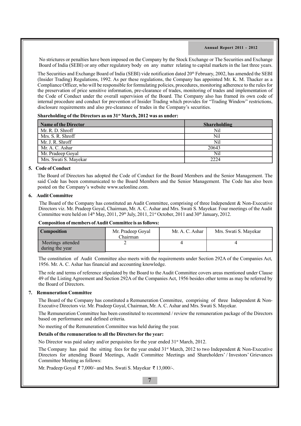No strictures or penalties have been imposed on the Company by the Stock Exchange or The Securities and Exchange Board of India (SEBI) or any other regulatory body on any matter relating to capital markets in the last three years.

The Securities and Exchange Board of India (SEBI) vide notification dated 20<sup>th</sup> February, 2002, has amended the SEBI (Insider Trading) Regulations, 1992. As per these regulations, the Company has appointed Mr. K. M. Thacker as a Compliance Officer, who will be responsible for formulating policies, procedures, monitoring adherence to the rules for the preservation of price sensitive information, pre-clearance of trades, monitoring of trades and implementation of the Code of Conduct under the overall supervision of the Board. The Company also has framed its own code of internal procedure and conduct for prevention of Insider Trading which provides for "Trading Window" restrictions, disclosure requirements and also pre-clearance of trades in the Company's securities.

## **Shareholding of the Directors as on 31st March, 2012 was as under:**

| <b>Name of the Director</b> | <b>Shareholding</b> |
|-----------------------------|---------------------|
| Mr. R. D. Shroff            | Nil                 |
| Mrs. S. R. Shroff           | Nil                 |
| Mr. J. R. Shroff            | Nil                 |
| Mr. A. C. Ashar             | 20643               |
| Mr. Pradeep Goyal           | Nil                 |
| Mrs. Swati S. Mayekar       | 2224                |

## **5. Code of Conduct**

The Board of Directors has adopted the Code of Conduct for the Board Members and the Senior Management. The said Code has been communicated to the Board Members and the Senior Management. The Code has also been posted on the Company's website www.uelonline.com.

#### **6. Audit Committee**

The Board of the Company has constituted an Audit Committee, comprising of three Independent & Non-Executive Directors viz. Mr. Pradeep Goyal, Chairman, Mr. A. C. Ashar and Mrs. Swati S. Mayekar. Four meetings of the Audit Committee were held on  $14<sup>th</sup>$  May, 2011, 29<sup>th</sup> July, 2011, 21<sup>st</sup> October, 2011 and 30<sup>th</sup> January, 2012.

#### **Composition of members of Audit Committee is as follows:**

| <b>Composition</b>                   | Mr. Pradeep Goyal<br>Chairman | Mr. A. C. Ashar | Mrs. Swati S. Mayekar |
|--------------------------------------|-------------------------------|-----------------|-----------------------|
| Meetings attended<br>during the year |                               |                 |                       |

The constitution of Audit Committee also meets with the requirements under Section 292A of the Companies Act, 1956. Mr. A. C. Ashar has financial and accounting knowledge.

The role and terms of reference stipulated by the Board to the Audit Committee covers areas mentioned under Clause 49 of the Listing Agreement and Section 292A of the Companies Act, 1956 besides other terms as may be referred by the Board of Directors.

## **7. Remuneration Committee**

The Board of the Company has constituted a Remuneration Committee, comprising of three Independent & Non-Executive Directors viz. Mr. Pradeep Goyal, Chairman, Mr. A. C. Ashar and Mrs. Swati S. Mayekar.

The Remuneration Committee has been constituted to recommend / review the remuneration package of the Directors based on performance and defined criteria.

No meeting of the Remuneration Committee was held during the year.

## **Details of the remuneration to all the Directors for the year:**

No Director was paid salary and/or perquisites for the year ended  $31<sup>st</sup>$  March, 2012.

The Company has paid the sitting fees for the year ended  $31<sup>st</sup>$  March, 2012 to two Independent & Non-Executive Directors for attending Board Meetings, Audit Committee Meetings and Shareholders' / Investors' Grievances Committee Meeting as follows:

Mr. Pradeep Goyal  $\overline{\tau}$  7,000/- and Mrs. Swati S. Mayekar  $\overline{\tau}$  13,000/-.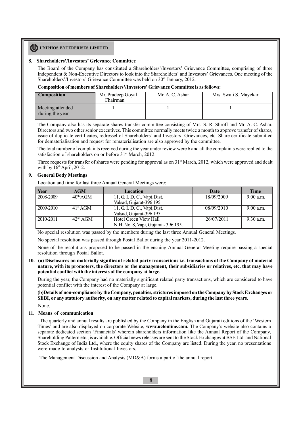#### **8. Shareholders'/Investors' Grievance Committee**

The Board of the Company has constituted a Shareholders'/Investors' Grievance Committee, comprising of three Independent & Non-Executive Directors to look into the Shareholders' and Investors' Grievances. One meeting of the Shareholders'/Investors' Grievance Committee was held on 30<sup>th</sup> January, 2012.

#### **Composition of members of Shareholders'/Investors' Grievance Committee is as follows:**

| <b>Composition</b>                  | Mr. Pradeep Goyal<br>Chairman | Mr. A. C. Ashar | Mrs. Swati S. Mayekar |
|-------------------------------------|-------------------------------|-----------------|-----------------------|
| Meeting attended<br>during the year |                               |                 |                       |

The Company also has its separate shares transfer committee consisting of Mrs. S. R. Shroff and Mr. A. C. Ashar, Directors and two other senior executives. This committee normally meets twice a month to approve transfer of shares, issue of duplicate certificates, redressel of Shareholders' and Investors' Grievances, etc. Share certificate submitted for dematerialisation and request for rematerialisation are also approved by the committee.

The total number of complaints received during the year under review were 6 and all the complaints were replied to the satisfaction of shareholders on or before 31<sup>st</sup> March, 2012.

Three requests for transfer of shares were pending for approval as on  $31<sup>st</sup>$  March, 2012, which were approved and dealt with by  $16<sup>th</sup>$  April, 2012.

## **9. General Body Meetings**

Location and time for last three Annual General Meetings were:

| Year      | <b>AGM</b>           | <b>Location</b>                            | Date       | Time      |
|-----------|----------------------|--------------------------------------------|------------|-----------|
| 2008-2009 | $40^{\text{th}}$ AGM | 11, G. I. D. C., Vapi, Dist.               | 18/09/2009 | 9.00 a.m. |
|           |                      | Valsad, Gujarat-396 195.                   |            |           |
| 2009-2010 | $41^{\rm st}$ AGM    | $\overline{11, G. I. D. C.}$ , Vapi, Dist. | 08/09/2010 | 9.00 a.m. |
|           |                      | Valsad, Gujarat-396 195.                   |            |           |
| 2010-2011 | $42nd$ AGM           | Hotel Green View Hall                      | 26/07/2011 | 9.30 a.m. |
|           |                      | N.H. No. 8, Vapi, Gujarat - 396 195.       |            |           |

No special resolution was passed by the members during the last three Annual General Meetings.

No special resolution was passed through Postal Ballot during the year 2011-2012.

None of the resolutions proposed to be passed in the ensuing Annual General Meeting require passing a special resolution through Postal Ballot.

#### **10. (a) Disclosures on materially significant related party transactions i.e. transactions of the Company of material nature, with its promoters, the directors or the management, their subsidiaries or relatives, etc. that may have potential conflict with the interests of the company at large.**

During the year, the Company had no materially significant related party transactions, which are considered to have potential conflict with the interest of the Company at large.

**(b)Details of non-compliance by the Company, penalties, strictures imposed on the Company by Stock Exchanges or SEBI, or any statutory authority, on any matter related to capital markets, during the last three years.**

None.

## **11. Means of communication**

 The quarterly and annual results are published by the Company in the English and Gujarati editions of the 'Western Times' and are also displayed on corporate Website, **www.uelonline.com.** The Company's website also contains a separate dedicated section 'Financials' wherein shareholders information like the Annual Report of the Company, Shareholding Pattern etc., is available. Official news releases are sent to the Stock Exchanges at BSE Ltd. and National Stock Exchange of India Ltd., where the equity shares of the Company are listed. During the year, no presentations were made to analysts or Institutional Investors.

The Management Discussion and Analysis (MD&A) forms a part of the annual report.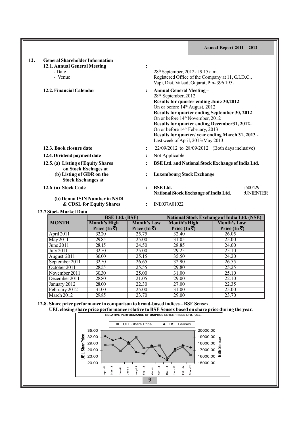| 12. | <b>General Shareholder Information</b>                     |                                                           |                      |                                                                                                                                                                                                                                                                                                                                                                                                                                                            |                    |                         |
|-----|------------------------------------------------------------|-----------------------------------------------------------|----------------------|------------------------------------------------------------------------------------------------------------------------------------------------------------------------------------------------------------------------------------------------------------------------------------------------------------------------------------------------------------------------------------------------------------------------------------------------------------|--------------------|-------------------------|
|     | 12.1. Annual General Meeting<br>- Date<br>- Venue          |                                                           | $\ddot{\cdot}$       | 28 <sup>th</sup> September, 2012 at 9.15 a.m.<br>Registered Office of the Company at 11, G.I.D.C.,<br>Vapi, Dist. Valsad, Gujarat, Pin-396 195.                                                                                                                                                                                                                                                                                                            |                    |                         |
|     | 12.2. Financial Calendar                                   |                                                           | $\ddot{\cdot}$       | <b>Annual General Meeting –</b><br>28 <sup>th</sup> September, 2012<br>Results for quarter ending June 30,2012-<br>On or before 14 <sup>th</sup> August, 2012<br>Results for quarter ending September 30, 2012-<br>On or before 14 <sup>th</sup> November, 2012<br>Results for quarter ending December 31, 2012-<br>On or before 14 <sup>th</sup> February, 2013<br>Results for quarter/year ending March 31, 2013 -<br>Last week of April, 2013/May 2013. |                    |                         |
|     | 12.3. Book closure date                                    |                                                           | $\ddot{\cdot}$       | 22/09/2012 to 28/09/2012 (Both days inclusive)                                                                                                                                                                                                                                                                                                                                                                                                             |                    |                         |
|     | 12.4. Dividend payment date                                |                                                           |                      | Not Applicable                                                                                                                                                                                                                                                                                                                                                                                                                                             |                    |                         |
|     | 12.5. (a) Listing of Equity Shares<br>on Stock Exchages at |                                                           |                      | BSE Ltd. and National Stock Exchange of India Ltd.                                                                                                                                                                                                                                                                                                                                                                                                         |                    |                         |
|     | (b) Listing of GDR on the<br><b>Stock Exchanges at</b>     |                                                           |                      | <b>Luxembourg Stock Exchange</b>                                                                                                                                                                                                                                                                                                                                                                                                                           |                    |                         |
|     | 12.6 (a) Stock Code                                        |                                                           | $\ddot{\cdot}$       | <b>BSE</b> Ltd.<br>National Stock Exchange of India Ltd.                                                                                                                                                                                                                                                                                                                                                                                                   |                    | : $500429$<br>:UNIENTER |
|     |                                                            | (b) Demat ISIN Number in NSDL<br>& CDSL for Equity Shares | $\ddot{\phantom{a}}$ | INE037A01022                                                                                                                                                                                                                                                                                                                                                                                                                                               |                    |                         |
|     | 12.7 Stock Market Data                                     |                                                           |                      |                                                                                                                                                                                                                                                                                                                                                                                                                                                            |                    |                         |
|     |                                                            | <b>BSE Ltd. (BSE)</b>                                     |                      | <b>National Stock Exchange of India Ltd. (NSE)</b>                                                                                                                                                                                                                                                                                                                                                                                                         |                    |                         |
|     | <b>MONTH</b>                                               | Month's High                                              | <b>Month's Lowl</b>  | Month's High                                                                                                                                                                                                                                                                                                                                                                                                                                               | <b>Month's Low</b> |                         |

|                | <b>DOLLUG (DOL)</b>          |                             | $\frac{1}{4}$ altonal stock exchange of film a fitter (1986) |                             |  |
|----------------|------------------------------|-----------------------------|--------------------------------------------------------------|-----------------------------|--|
| <b>MONTH</b>   | Month's High<br>Price (In ₹) | Month's Low<br>Price (In ₹) | Month's High<br>Price (In ₹)                                 | Month's Low<br>Price (In ₹) |  |
| April 2011     | 32.20                        | 25.75                       | 32.40                                                        | 26.05                       |  |
| May 2011       | 29.85                        | 25.00                       | 31.05                                                        | 25.00                       |  |
| June 2011      | 28.15                        | 24.50                       | 28.85                                                        | 24.00                       |  |
| July 2011      | 32.50                        | 25.00                       | 29.25                                                        | 25.10                       |  |
| August 2011    | 36.00                        | 25.15                       | 35.50                                                        | 24.20                       |  |
| September 2011 | 32.50                        | 26.65                       | 32.90                                                        | 26.55                       |  |
| October 2011   | 28.55                        | 25.55                       | 29.80                                                        | 25.25                       |  |
| November 2011  | 30.30                        | 25.00                       | 31.00                                                        | 25.10                       |  |
| December 2011  | 28.80                        | 21.05                       | 29.00                                                        | 22.10                       |  |
| January 2012   | 28.00                        | 22.30                       | 27.00                                                        | 22.35                       |  |
| February 2012  | 31.00                        | 25.00                       | 31.00                                                        | 25.00                       |  |
| March 2012     | 29.85                        | 23.70                       | 29.00                                                        | 23.70                       |  |

**12.8. Share price performance in comparison to broad-based indices – BSE Sens**ex. **UEL closing share price performance relative to BSE Sensex based on share price during the year.**

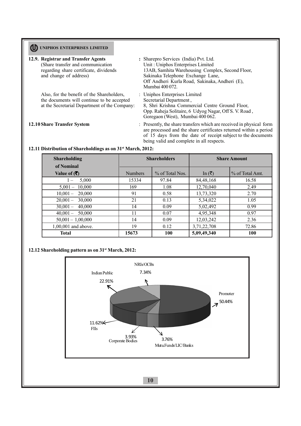| 12.9. Registrar and Transfer Agents<br>(Share transfer and communication<br>regarding share certificate, dividends<br>and change of address) | : Sharepro Services (India) Pvt. Ltd.<br>Unit: Uniphos Enterprises Limited<br>13AB, Samhita Warehousing Complex, Second Floor,<br>Sakinaka Telephone Exchange Lane,<br>Off Andheri Kurla Road, Sakinaka, Andheri (E),<br>Mumbai 400 072.               |
|----------------------------------------------------------------------------------------------------------------------------------------------|--------------------------------------------------------------------------------------------------------------------------------------------------------------------------------------------------------------------------------------------------------|
| Also, for the benefit of the Shareholders,<br>the documents will continue to be accepted<br>at the Secretarial Department of the Company:    | : Uniphos Enterprises Limited<br>Secretarial Department,<br>8, Shri Krishna Commercial Centre Ground Floor,<br>Opp. Raheja Solitaire, 6 Udyog Nagar, Off S. V. Road,<br>Goregaon (West), Mumbai 400 062.                                               |
| 12.10 Share Transfer System                                                                                                                  | : Presently, the share transfers which are received in physical form<br>are processed and the share certificates returned within a period<br>of 15 days from the date of receipt subject to the documents<br>being valid and complete in all respects. |

## **12.11 Distribution of Shareholdings as on 31st March, 2012:**

| <b>Shareholding</b><br>of Nominal | <b>Shareholders</b> |                 | <b>Share Amount</b>     |                 |
|-----------------------------------|---------------------|-----------------|-------------------------|-----------------|
| Value of $($ ₹ $)$                | <b>Numbers</b>      | % of Total Nos. | In $(\overline{\zeta})$ | % of Total Amt. |
| 5,000                             | 15334               | 97.84           | 84, 48, 168             | 16.58           |
| $5,001 - 10,000$                  | 169                 | 1.08            | 12,70,040               | 2.49            |
| $10,001-$<br>20,000               | 91                  | 0.58            | 13,73,320               | 2.70            |
| $20,001-$<br>30,000               | 21                  | 0.13            | 5,34,022                | 1.05            |
| $30,001 -$<br>40,000              | 14                  | 0.09            | 5,02,492                | 0.99            |
| $40,001 - 50,000$                 | 11                  | 0.07            | 4,95,348                | 0.97            |
| $50,001 - 1,00,000$               | 14                  | 0.09            | 12,03,242               | 2.36            |
| 1,00,001 and above.               | 19                  | 0.12            | 3,71,22,708             | 72.86           |
| <b>Total</b>                      | 15673               | <b>100</b>      | 5,09,49,340             | <b>100</b>      |

## **12.12 Shareholding pattern as on 31st March, 2012:**

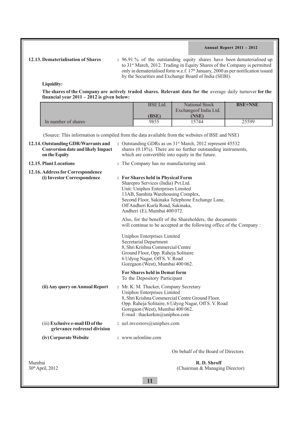**12.13. Dematerialisation of Shares :** 96.91 % of the outstanding equity shares have been dematerialised up to 31st March, 2012. Trading in Equity Shares of the Company is permitted only in dematerialised form w.e.f.  $17<sup>th</sup>$  January, 2000 as per notification issued by the Securities and Exchange Board of India (SEBI).

**Liquidity:**

**The shares of the Company are actively traded shares. Relevant data for the** average daily turnover **for the financial year 2011 – 2012 is given below:**

|                     | <b>BSE</b> Ltd. | <b>National Stock</b><br>Exchange of India Ltd. | <b>BSE+NSE</b> |
|---------------------|-----------------|-------------------------------------------------|----------------|
|                     | (BSE)           | <b>NSE)</b>                                     |                |
| In number of shares | 9855            | 5744                                            | 25599          |

**11** (Source: This information is compiled from the data available from the websites of BSE and NSE) **12.14. Outstanding GDR/Warrants and :** Outstanding GDRs as on 31<sup>st</sup> March, 2012 represent 45532 **Conversion date and likely Impact** shares (0.18%). There are no further outstanding instruments, on the Equity in the future. which are convertible into equity in the future. **12.15.Plant Locations :** The Company has no manufacturing unit. **12.16. Address for Correspondence (i) Investor Correspondence : For Shares held in Physical Form** Sharepro Services (India) Pvt.Ltd. Unit: Uniphos Enterprises Limited 13AB, Samhita Warehousing Complex, Second Floor, Sakinaka Telephone Exchange Lane, Off Andheri Kurla Road, Sakinaka, Andheri (E), Mumbai 400 072. Also, for the benefit of the Shareholders, the documents will continue to be accepted at the following office of the Company : Uniphos Enterprises Limited Secretarial Department 8, Shri Krishna Commercial Centre Ground Floor, Opp. Raheja Solitaire 6 Udyog Nagar, Off S. V. Road Goregaon (West), Mumbai 400 062. **For Shares held in Demat form** To the Depository Participant **(ii) Any query on Annual Report :** Mr. K. M. Thacker, Company Secretary Uniphos Enterprises Limited 8, Shri Krishna Commercial Centre Ground Floor, Opp. Raheja Solitaire, 6 Udyog Nagar, Off S. V. Road Goregaon (West), Mumbai 400 062. E-mail : thackerkm@uniphos.com (iii) **Exclusive e-mail ID of the :** uel.investors@uniphos.com  **grievance redressel division (iv) Corporate Website :** www.uelonline.com On behalf of the Board of Directors Mumbai<br> **R. D. Shroff**<br>
30<sup>th</sup> April, 2012<br>
(Chairman & Managin)  $(Chairman & Managing Director)$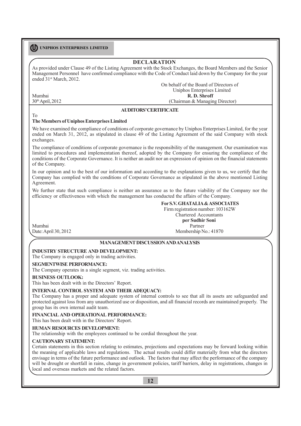## **DECLARATION**

As provided under Clause 49 of the Listing Agreement with the Stock Exchanges, the Board Members and the Senior Management Personnel have confirmed compliance with the Code of Conduct laid down by the Company for the year ended 31st March, 2012.

On behalf of the Board of Directors of Uniphos Enterprises Limited Mumbai<br>
30<sup>th</sup> April, 2012<br>
(Chairman & Managin)  $(Chairman & Managing Director)$ 

#### **AUDITORS' CERTIFICATE**

## T<sub>Ω</sub>

## **The Members of Uniphos Enterprises Limited**

We have examined the compliance of conditions of corporate governance by Uniphos Enterprises Limited, for the year ended on March 31, 2012, as stipulated in clause 49 of the Listing Agreement of the said Company with stock exchanges.

The compliance of conditions of corporate governance is the responsibility of the management. Our examination was limited to procedures and implementation thereof, adopted by the Company for ensuring the compliance of the conditions of the Corporate Governance. It is neither an audit nor an expression of opinion on the financial statements of the Company.

In our opinion and to the best of our information and according to the explanations given to us, we certify that the Company has complied with the conditions of Corporate Governance as stipulated in the above mentioned Listing Agreement.

We further state that such compliance is neither an assurance as to the future viability of the Company nor the efficiency or effectiveness with which the management has conducted the affairs of the Company.

## **For S.V. GHATALIA & ASSOCIATES**

Firm registration number: 103162W

Mumbai Partner

Chartered Accountants **per Sudhir Soni** Date: April 30, 2012 Membership No.: 41870

## **MANAGEMENT DISCUSSION AND ANALYSIS**

#### **INDUSTRY STRUCTURE AND DEVELOPMENT:**

The Company is engaged only in trading activities.

#### **SEGMENTWISE PERFORMANCE:**

The Company operates in a single segment, viz. trading activities.

#### **BUSINESS OUTLOOK:**

This has been dealt with in the Directors' Report.

### **INTERNAL CONTROL SYSTEM AND THEIR ADEQUACY:**

The Company has a proper and adequate system of internal controls to see that all its assets are safeguarded and protected against loss from any unauthorized use or disposition, and all financial records are maintained properly. The group has its own internal audit team.

#### **FINANCIAL AND OPERATIONAL PERFORMANCE:**

This has been dealt with in the Directors' Report.

#### **HUMAN RESOURCES DEVELOPMENT:**

The relationship with the employees continued to be cordial throughout the year.

#### **CAUTIONARY STATEMENT:**

Certain statements in this section relating to estimates, projections and expectations may be forward looking within the meaning of applicable laws and regulations. The actual results could differ materially from what the directors envisage in terms of the future performance and outlook. The factors that may affect the performance of the company will be drought or shortfall in rains, change in government policies, tariff barriers, delay in registrations, changes in local and overseas markets and the related factors.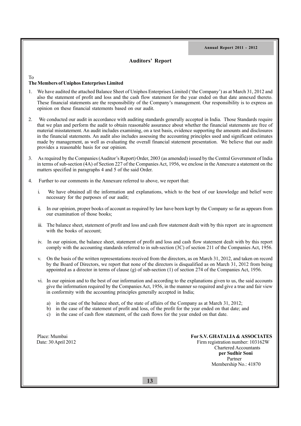## **Auditors' Report**

## To

## **The Members of Uniphos Enterprises Limited**

- 1. We have audited the attached Balance Sheet of Uniphos Enterprises Limited ('the Company') as at March 31, 2012 and also the statement of profit and loss and the cash flow statement for the year ended on that date annexed thereto. These financial statements are the responsibility of the Company's management. Our responsibility is to express an opinion on these financial statements based on our audit.
- 2. We conducted our audit in accordance with auditing standards generally accepted in India. Those Standards require that we plan and perform the audit to obtain reasonable assurance about whether the financial statements are free of material misstatement. An audit includes examining, on a test basis, evidence supporting the amounts and disclosures in the financial statements. An audit also includes assessing the accounting principles used and significant estimates made by management, as well as evaluating the overall financial statement presentation. We believe that our audit provides a reasonable basis for our opinion.
- 3. As required by the Companies (Auditor's Report) Order, 2003 (as amended) issued by the Central Government of India in terms of sub-section (4A) of Section 227 of the Companies Act, 1956, we enclose in the Annexure a statement on the matters specified in paragraphs 4 and 5 of the said Order.
- 4. Further to our comments in the Annexure referred to above, we report that:
	- i. We have obtained all the information and explanations, which to the best of our knowledge and belief were necessary for the purposes of our audit;
	- ii. In our opinion, proper books of account as required by law have been kept by the Company so far as appears from our examination of those books;
	- iii. The balance sheet, statement of profit and loss and cash flow statement dealt with by this report are in agreement with the books of account;
	- iv. In our opinion, the balance sheet, statement of profit and loss and cash flow statement dealt with by this report comply with the accounting standards referred to in sub-section (3C) of section 211 of the Companies Act, 1956.
	- v. On the basis of the written representations received from the directors, as on March 31, 2012, and taken on record by the Board of Directors, we report that none of the directors is disqualified as on March 31, 2012 from being appointed as a director in terms of clause (g) of sub-section (1) of section 274 of the Companies Act, 1956.
	- vi. In our opinion and to the best of our information and according to the explanations given to us, the said accounts give the information required by the Companies Act, 1956, in the manner so required and give a true and fair view in conformity with the accounting principles generally accepted in India;
		- a) in the case of the balance sheet, of the state of affairs of the Company as at March 31, 2012;
		- b) in the case of the statement of profit and loss, of the profit for the year ended on that date; and
		- c) in the case of cash flow statement, of the cash flows for the year ended on that date.

Place: Mumbai **For S.V. GHATALIA & ASSOCIATES**  Date: 30 April 2012Firm registration number: 103162W Chartered Accountants **per Sudhir Soni** Partner Membership No.: 41870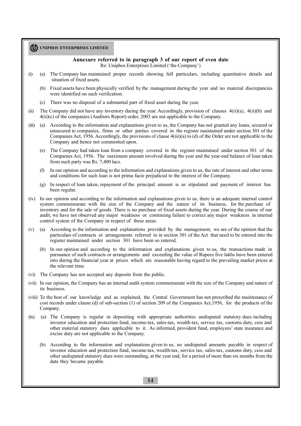## **Annexure referred to in paragraph 3 of our report of even date**

Re: Uniphos Enterprises Limited ('the Company')

- (i) (a) The Company has maintained proper records showing full particulars, including quantitative details and situation of fixed assets.
	- (b) Fixed assets have been physically verified by the management during the year and no material discrepancies were identified on such verification.
	- (c) There was no disposal of a substantial part of fixed asset during the year.
- (ii) The Company did not have any inventory during the year. Accordingly, provision of clauses 4(ii)(a), 4(ii)(b) and 4(ii)(c) of the companies (Auditors Report) order, 2003 are not applicable to the Company.
- (iii) (a) According to the information and explanations given to us, the Company has not granted any loans, secured or unsecured to companies, firms or other parties covered in the register maintained under section 301 of the Companies Act, 1956. Accordingly, the provisions of clause 4(iii)(a) to (d) of the Order are not applicable to the Company and hence not commented upon.
	- (e) The Company had taken loan from a company covered in the register maintained under section 301 of the Companies Act, 1956. The maximum amount involved during the year and the year-end balance of loan taken from such party was Rs. 7,400 lacs.
	- (f) In our opinion and according to the information and explanations given to us, the rate of interest and other terms and conditions for such loan is not prima facie prejudicial to the interest of the Company.
	- (g) In respect of loan taken, repayment of the principal amount is as stipulated and payment of interest has been regular.
- (iv) In our opinion and according to the information and explanations given to us, there is an adequate internal control system commensurate with the size of the Company and the nature of its business, for the purchase of inventory and for the sale of goods. There is no purchase of fixed assets during the year. During the course of our audit, we have not observed any major weakness or continuing failure to correct any major weakness in internal control system of the Company in respect of these areas.
- (v) (a) According to the information and explanations provided by the management, we are of the opinion that the particulars of contracts or arrangements referred to in section 301 of the Act that need to be entered into the register maintained under section 301 have been so entered.
	- (b) In our opinion and according to the information and explanations given to us, the transactions made in pursuance of such contracts or arrangements and exceeding the value of Rupees five lakhs have been entered into during the financial year at prices which are reasonable having regard to the prevailing market prices at the relevant time.
- (vi) The Company has not accepted any deposits from the public.
- (vii) In our opinion, the Company has an internal audit system commensurate with the size of the Company and nature of its business.
- (viii) To the best of our knowledge and as explained, the Central Government has not prescribed the maintenance of cost records under clause (d) of sub-section (1) of section 209 of the Companies Act,1956, for the products of the Company.
- (ix) (a) The Company is regular in depositing with appropriate authorities undisputed statutory dues including investor education and protection fund, income-tax, sales-tax, wealth-tax, service tax, customs duty, cess and other material statutory dues applicable to it. As informed, provident fund, employees' state insurance and excise duty are not applicable to the Company.
	- (b) According to the information and explanations given to us, no undisputed amounts payable in respect of investor education and protection fund, income-tax, wealth-tax, service tax, sales-tax, customs duty, cess and other undisputed statutory dues were outstanding, at the year end, for a period of more than six months from the date they became payable.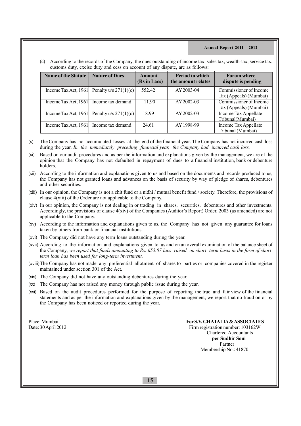(c) According to the records of the Company, the dues outstanding of income tax, sales tax, wealth-tax, service tax, customs duty, excise duty and cess on account of any dispute, are as follows:

| <b>Name of the Statute</b> | <b>Nature of Dues</b>                        | Amount<br>(Rs in Lacs) | <b>Period to which</b><br>the amount relates | <b>Forum where</b><br>dispute is pending |
|----------------------------|----------------------------------------------|------------------------|----------------------------------------------|------------------------------------------|
|                            | Income Tax Act, 1961 Penalty $u/s 271(1)(c)$ | 552.42                 | AY 2003-04                                   | Commissioner of Income                   |
|                            |                                              |                        |                                              | Tax (Appeals) (Mumbai)                   |
| Income Tax Act, 1961       | Income tax demand                            | 11.90                  | AY 2002-03                                   | Commissioner of Income                   |
|                            |                                              |                        |                                              | Tax (Appeals) (Mumbai)                   |
|                            | Income Tax Act, 1961 Penalty $u/s 271(1)(c)$ | 18.99                  | AY 2002-03                                   | Income Tax Appellate                     |
|                            |                                              |                        |                                              | Tribunal(Mumbai)                         |
| Income Tax Act, 1961       | Income tax demand                            | 24.61                  | AY 1998-99                                   | Income Tax Appellate                     |
|                            |                                              |                        |                                              | Tribunal (Mumbai)                        |

- (x) The Company has no accumulated losses at the end of the financial year. The Company has not incurred cash loss during the year. *In the immediately preceding financial year, the Company had incurred cash loss.*
- (xi) Based on our audit procedures and as per the information and explanations given by the management, we are of the opinion that the Company has not defaulted in repayment of dues to a financial institution, bank or debenture holders.
- (xii) According to the information and explanations given to us and based on the documents and records produced to us, the Company has not granted loans and advances on the basis of security by way of pledge of shares, debentures and other securities.
- (xiii) In our opinion, the Company is not a chit fund or a nidhi / mutual benefit fund / society. Therefore, the provisions of clause 4(xiii) of the Order are not applicable to the Company.
- (xiv) In our opinion, the Company is not dealing in or trading in shares, securities, debentures and other investments. Accordingly, the provisions of clause 4(xiv) of the Companies (Auditor's Report) Order, 2003 (as amended) are not applicable to the Company.
- (xv) According to the information and explanations given to us, the Company has not given any guarantee for loans taken by others from bank or financial institutions.
- (xvi) The Company did not have any term loans outstanding during the year.
- (xvii) According to the information and explanations given to us and on an overall examination of the balance sheet of the Company, *we report that funds amounting to Rs. 655.07 lacs raised on short term basis in the form of short term loan has been used for long-term investment.*
- (xviii)The Company has not made any preferential allotment of shares to parties or companies covered in the register maintained under section 301 of the Act.
- (xix) The Company did not have any outstanding debentures during the year.
- (xx) The Company has not raised any money through public issue during the year.
- (xxi) Based on the audit procedures performed for the purpose of reporting the true and fair view of the financial statements and as per the information and explanations given by the management, we report that no fraud on or by the Company has been noticed or reported during the year.

Place: Mumbai **For S.V. GHATALIA & ASSOCIATES**<br>Date: 30 April 2012 **For S.V. GHATALIA & ASSOCIATES** Firm registration number: 103162W Chartered Accountants  **per Sudhir Soni** Partner Membership No.: 41870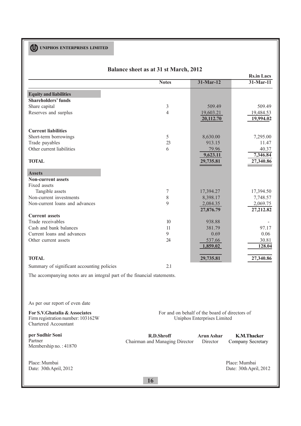|                                                                          | Balance sheet as at 31 st March, 2012 |             |                   |
|--------------------------------------------------------------------------|---------------------------------------|-------------|-------------------|
|                                                                          |                                       |             | <b>Rs.in Lacs</b> |
|                                                                          | <b>Notes</b>                          | $31-Mar-12$ | $31$ -Mar-11      |
| <b>Equity and liabilities</b>                                            |                                       |             |                   |
| <b>Shareholders' funds</b>                                               |                                       |             |                   |
| Share capital                                                            | 3                                     | 509.49      | 509.49            |
| Reserves and surplus                                                     | $\overline{4}$                        | 19,603.21   | 19,484.53         |
|                                                                          |                                       | 20,112.70   | 19,994.02         |
| <b>Current liabilities</b>                                               |                                       |             |                   |
| Short-term borrowings                                                    | 5                                     | 8,630.00    | 7,295.00          |
| Trade payables                                                           | 23                                    | 913.15      | 11.47             |
| Other current liabilities                                                | 6                                     | 79.96       | 40.37             |
|                                                                          |                                       | 9,623.11    | 7,346.84          |
| <b>TOTAL</b>                                                             |                                       | 29,735.81   | 27,340.86         |
| <b>Assets</b>                                                            |                                       |             |                   |
| <b>Non-current assets</b>                                                |                                       |             |                   |
| Fixed assets                                                             |                                       |             |                   |
| Tangible assets                                                          | 7                                     | 17,394.27   | 17,394.50         |
| Non-current investments                                                  | $8\,$                                 | 8,398.17    | 7,748.57          |
| Non-current loans and advances                                           | 9                                     | 2,084.35    | 2,069.75          |
|                                                                          |                                       | 27,876.79   | 27,212.82         |
| <b>Current assets</b>                                                    |                                       |             |                   |
| Trade receivables                                                        | 10                                    | 938.88      |                   |
| Cash and bank balances                                                   | 11                                    | 381.79      | 97.17             |
| Current loans and advances                                               | 9                                     | 0.69        | 0.06              |
| Other current assets                                                     | 24                                    | 537.66      | 30.81             |
|                                                                          |                                       | 1,859.02    | 128.04            |
| <b>TOTAL</b>                                                             |                                       | 29,735.81   | 27,340.86         |
| Summary of significant accounting policies                               | 2.1                                   |             |                   |
| The accompanying notes are an integral part of the financial statements. |                                       |             |                   |
|                                                                          |                                       |             |                   |
|                                                                          |                                       |             |                   |

As per our report of even date

**For S.V.Ghatalia & Associates** Firm registration number: 103162W Chartered Accountant

**per Sudhir Soni** Partner Membership no. : 41870

Place: Mumbai Date: 30th April, 2012 For and on behalf of the board of directors of Uniphos Enterprises Limited

**R.D.Shroff** Chairman and Managing Director **Arun Ashar** Director **K.M.Thacker** Company Secretary

> Place: Mumbai Date: 30th April, 2012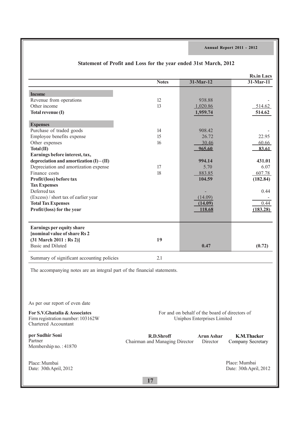|                                                                                                                                                   |                                                     |                                                                               | <b>Rs.in Lacs</b>                       |
|---------------------------------------------------------------------------------------------------------------------------------------------------|-----------------------------------------------------|-------------------------------------------------------------------------------|-----------------------------------------|
|                                                                                                                                                   | <b>Notes</b>                                        | $31-Mar-12$                                                                   | $31$ -Mar-11                            |
|                                                                                                                                                   |                                                     |                                                                               |                                         |
| <b>Income</b>                                                                                                                                     |                                                     |                                                                               |                                         |
| Revenue from operations                                                                                                                           | 12                                                  | 938.88                                                                        |                                         |
| Other income                                                                                                                                      | 13                                                  | 1,020.86                                                                      | 514.62                                  |
| Total revenue (I)                                                                                                                                 |                                                     | 1,959.74                                                                      | 514.62                                  |
| <b>Expenses</b>                                                                                                                                   |                                                     |                                                                               |                                         |
| Purchase of traded goods                                                                                                                          | 14                                                  | 908.42                                                                        |                                         |
| Employee benefits expense                                                                                                                         | 15                                                  | 26.72                                                                         | 22.95                                   |
| Other expenses                                                                                                                                    | 16                                                  | 30.46                                                                         | 60.66                                   |
| Total (II)                                                                                                                                        |                                                     | 965.60                                                                        | 83.61                                   |
| Earnings before interest, tax,                                                                                                                    |                                                     |                                                                               |                                         |
| depreciation and amortization $(I) - (II)$                                                                                                        |                                                     | 994.14                                                                        | 431.01                                  |
| Depreciation and amortization expense                                                                                                             | 17                                                  | 5.70                                                                          | 6.07                                    |
| Finance costs                                                                                                                                     | 18                                                  | 883.85                                                                        | 607.78                                  |
| Profit/(loss) before tax                                                                                                                          |                                                     | 104.59                                                                        | (182.84)                                |
| <b>Tax Expenses</b>                                                                                                                               |                                                     |                                                                               |                                         |
| Deferred tax                                                                                                                                      |                                                     | $\overline{\phantom{a}}$                                                      | 0.44                                    |
| (Excess) / short tax of earlier year                                                                                                              |                                                     | (14.09)                                                                       |                                         |
| <b>Total Tax Expenses</b>                                                                                                                         |                                                     | (14.09)                                                                       | 0.44                                    |
| Profit/(loss) for the year                                                                                                                        |                                                     | 118.68                                                                        | (183.28)                                |
|                                                                                                                                                   |                                                     |                                                                               |                                         |
| <b>Earnings per equity share</b><br><b>[nominal value of share Rs 2</b><br>$(31 \text{ March } 2011 : \text{Rs } 2)]$<br><b>Basic and Diluted</b> | 19                                                  | 0.47                                                                          | (0.72)                                  |
| Summary of significant accounting policies                                                                                                        | 2.1                                                 |                                                                               |                                         |
| The accompanying notes are an integral part of the financial statements.                                                                          |                                                     |                                                                               |                                         |
| As per our report of even date                                                                                                                    |                                                     |                                                                               |                                         |
| For S.V.Ghatalia & Associates<br>Firm registration number: 103162W<br>Chartered Accountant                                                        |                                                     | For and on behalf of the board of directors of<br>Uniphos Enterprises Limited |                                         |
| per Sudhir Soni<br>Partner<br>Membership no.: 41870                                                                                               | <b>R.D.Shroff</b><br>Chairman and Managing Director | <b>Arun Ashar</b><br>Director                                                 | <b>K.M.Thacker</b><br>Company Secretary |
| Place: Mumbai<br>Date: 30th April, 2012                                                                                                           |                                                     |                                                                               | Place: Mumbai<br>Date: 30th April, 2012 |

# **Statement of Profit and Loss for the year ended 31st March, 2012**

**17**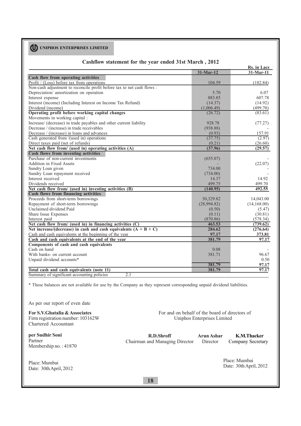|                                                                        |             | Rs. in Lacs  |
|------------------------------------------------------------------------|-------------|--------------|
|                                                                        | 31-Mar-12   | $31-Mar-11$  |
| Cash flow from operating activities                                    |             |              |
| Profit / (Loss) before tax from operations                             | 104.59      | (182.84)     |
| Non-cash adjustment to reconcile profit before tax to net cash flows : |             |              |
| Depreciation/ amortization on operation                                | 5.70        | 6.07         |
| Interest expense                                                       | 883.85      | 607.78       |
| Interest (income) (Including Interest on Income Tax Refund)            | (14.37)     | (14.92)      |
| Dividend (income)                                                      | (1,006.49)  | (499.70)     |
| Operating profit before working capital changes                        | (26.72)     | (83.61)      |
| Movements in working capital :                                         |             |              |
| Increase/ (decrease) in trade payables and other current liability     | 928.78      | (77.27)      |
| Decrease / (increase) in trade receivables                             | (938.88)    |              |
| Decrease / (increase) in loans and advances                            | (0.93)      | 157.91       |
| Cash generated from $/$ (used in) operations                           | (37.75)     | (2.97)       |
| Direct taxes paid (net of refunds)                                     | (0.21)      | (26.60)      |
| Net cash flow from/ (used in) operating activities (A)                 | (37.96)     | (29.57)      |
| Cash flows from investing activities                                   |             |              |
| Purchase of non-current investments                                    | (655.07)    |              |
| Addition in Fixed Assets                                               |             | (22.07)      |
| Sundry Loan given                                                      | 734.00      |              |
| Sundry Loan repayment received                                         | (734.00)    |              |
| Interest received                                                      | 14.37       | 14.92        |
| Dividends received                                                     | 499.75      | 499.70       |
| Net cash flow from/ (used in) investing activities (B)                 | (140.95)    | 492.55       |
| Cash flows from financing activities                                   |             |              |
| Proceeds from short-term borrowings                                    | 30,329.82   | 14,043.00    |
| Repayment of short-term borrowings                                     | (28,994.82) | (14, 168.00) |
| Unclaimed dividend Paid                                                | (0.50)      | (5.47)       |
| Share Issue Expenses                                                   | (0.11)      | (30.81)      |
| Interest paid                                                          | (870.86)    | (578.34)     |
| Net cash flow from/ (used in) in financing activities $(C)$            | 463.53      | (739.62)     |
| Net increase/(decrease) in cash and cash equivalents $(A + B + C)$     | 284.62      | (276.64)     |
| Cash and cash equivalents at the beginning of the year                 | 97.17       | 373.81       |
| Cash and cash equivalents at the end of the year                       | 381.79      | 97.17        |
| Components of cash and cash equivalents                                |             |              |
| Cash on hand                                                           | 0.08        |              |
| With banks- on current account                                         | 381.71      | 96.67        |
| Unpaid dividend accounts*                                              |             | 0.50         |
|                                                                        | 381.79      | 97.17        |
| Total cash and cash equivalents (note 11)                              | 381.79      | 97.17        |
| Summary of significant accounting policies<br>2.1                      |             |              |

## **Cashflow statement for the year ended 31st March , 2012**

\* These balances are not available for use by the Company as they represent corresponding unpaid dividend liabilities.

As per our report of even date

**For S.V.Ghatalia & Associates**

Firm registration number: 103162W Chartered Accountant

**per Sudhir Soni** Partner Membership no. : 41870

Place: Mumbai Date: 30th April, 2012 For and on behalf of the board of directors of Uniphos Enterprises Limited

**R.D.Shroff** Chairman and Managing Director **Arun Ashar** Director **K.M.Thacker**

Company Secretary

Place: Mumbai Date: 30th April, 2012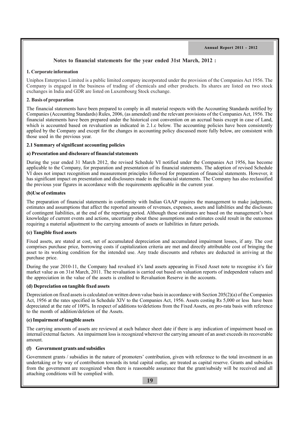## **Notes to financial statements for the year ended 31st March, 2012 :**

## **1. Corporate information**

Uniphos Enterprises Limited is a public limited company incorporated under the provision of the Companies Act 1956. The Company is engaged in the business of trading of chemicals and other products. Its shares are listed on two stock exchanges in India and GDR are listed on Luxembourg Stock exchange.

## **2. Basis of preparation**

The financial statements have been prepared to comply in all material respects with the Accounting Standards notified by Companies (Accounting Standards) Rules, 2006, (as amended) and the relevant provisions of the Companies Act, 1956. The financial statements have been prepared under the historical cost convention on an accrual basis except in case of Land, which is accounted based on revaluation as indicated in 2.1.c below. The accounting policies have been consistently applied by the Company and except for the changes in accounting policy discussed more fully below, are consistent with those used in the previous year.

## **2.1 Summary of significant accounting policies**

## **a) Presentation and disclosure of financial statements**

During the year ended 31 March 2012, the revised Schedule VI notified under the Companies Act 1956, has become applicable to the Company, for preparation and presentation of its financial statements. The adoption of revised Schedule VI does not impact recognition and measurement principles followed for preparation of financial statements. However, it has significant impact on presentation and disclosures made in the financial statements. The Company has also reclassified the previous year figures in accordance with the requirements applicable in the current year.

## **(b)Use of estimates**

The preparation of financial statements in conformity with Indian GAAP requires the management to make judgments, estimates and assumptions that affect the reported amounts of revenues, expenses, assets and liabilities and the disclosure of contingent liabilities, at the end of the reporting period. Although these estimates are based on the management's best knowledge of current events and actions, uncertainty about these assumptions and estimates could result in the outcomes requiring a material adjustment to the carrying amounts of assets or liabilities in future periods.

## **(c) Tangible fixed assets**

Fixed assets, are stated at cost, net of accumulated depreciation and accumulated impairment losses, if any. The cost comprises purchase price, borrowing costs if capitalization criteria are met and directly attributable cost of bringing the asset to its working condition for the intended use. Any trade discounts and rebates are deducted in arriving at the purchase price.

During the year 2010-11, the Company had revalued it's land assets appearing in Fixed Asset note to recognise it's fair market value as on 31st March, 2011. The revaluation is carried out based on valuation reports of independent valuers and the appreciation in the value of the assets is credited to Revaluation Reserve in the accounts.

## **(d) Depreciation on tangible fixed assets**

Depreciation on fixed assets is calculated on written down value basis in accordance with Section  $205(2)(a)$  of the Companies Act, 1956 at the rates specified in Schedule XIV to the Companies Act, 1956. Assets costing Rs 5,000 or less have been depreciated at the rate of 100%. In respect of additions to/deletions from the Fixed Assets, on pro-rata basis with reference to the month of addition/deletion of the Assets.

## **(e) Impairment of tangible assets**

The carrying amounts of assets are reviewed at each balance sheet date if there is any indication of impairment based on internal/external factors. An impairment loss is recognized wherever the carrying amount of an asset exceeds its recoverable amount.

## **(f) Government grants and subsidies**

Government grants / subsidies in the nature of promoters' contribution, given with reference to the total investment in an undertaking or by way of contribution towards its total capital outlay, are treated as capital reserve. Grants and subsidies from the government are recognized when there is reasonable assurance that the grant/subsidy will be received and all attaching conditions will be complied with.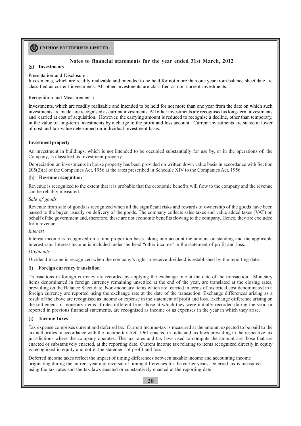## **Notes to financial statements for the year ended 31st March, 2012**

#### **(g) Investments**

Presentation and Disclosure :

Investments, which are readily realizable and intended to be held for not more than one year from balance sheet date are classified as current investments. All other investments are classified as non-current investments.

Recognition and Measurement **:**

Investments, which are readily realizable and intended to be held for not more than one year from the date on which such investments are made, are recognised as current investments. All other investments are recognised as long-term investments and carried at cost of acquisition. However, the carrying amount is reduced to recognise a decline, other than temporary, in the value of long-term investments by a charge to the profit and loss account. Current investments are stated at lower of cost and fair value determined on individual investment basis.

## **Investment property**

An investment in buildings, which is not intended to be occupied substantially for use by, or in the operations of, the Company, is classified as investment property.

Depreciation on investments in house property has been provided on written down value basis in accordance with Section 205(2)(a) of the Companies Act, 1956 at the rates prescribed in Schedule XIV to the Companies Act, 1956.

#### **(h) Revenue recognition**

Revenue is recognized to the extent that it is probable that the economic benefits will flow to the company and the revenue can be reliably measured.

#### *Sale of goods*

Revenue from sale of goods is recognized when all the significant risks and rewards of ownership of the goods have been passed to the buyer, usually on delivery of the goods. The company collects sales taxes and value added taxes (VAT) on behalf of the government and, therefore, these are not economic benefits flowing to the company. Hence, they are excluded from revenue.

#### *Interest*

Interest income is recognized on a time proportion basis taking into account the amount outstanding and the applicable interest rate. Interest income is included under the head "other income" in the statement of profit and loss.

## *Dividends*

Dividend income is recognized when the company's right to receive dividend is established by the reporting date.

## **(i) Foreign currency translation**

Transactions in foreign currency are recorded by applying the exchange rate at the date of the transaction. Monetary items denominated in foreign currency remaining unsettled at the end of the year, are translated at the closing rates, prevailing on the Balance Sheet date. Non-monetary items which are carried in terms of historical cost denominated in a foreign currency are reported using the exchange rate at the date of the transaction. Exchange differences arising as a result of the above are recognised as income or expense in the statement of profit and loss. Exchange difference arising on the settlement of monetary items at rates different from those at which they were initially recorded during the year, or reported in previous financial statements, are recognised as income or as expenses in the year in which they arise.

## **(j) Income Taxes**

Tax expense comprises current and deferred tax. Current income-tax is measured at the amount expected to be paid to the tax authorities in accordance with the Income-tax Act, 1961 enacted in India and tax laws prevailing in the respective tax jurisdictions where the company operates. The tax rates and tax laws used to compute the amount are those that are enacted or substantively enacted, at the reporting date. Current income tax relating to items recognized directly in equity is recognized in equity and not in the statement of profit and loss.

Deferred income taxes reflect the impact of timing differences between taxable income and accounting income originating during the current year and reversal of timing differences for the earlier years. Deferred tax is measured using the tax rates and the tax laws enacted or substantively enacted at the reporting date.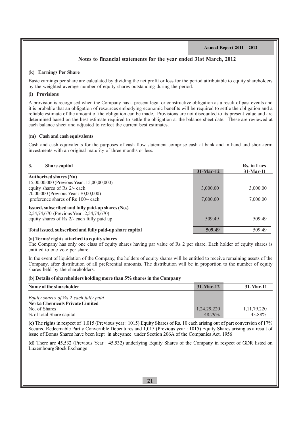## **Notes to financial statements for the year ended 31st March, 2012**

#### **(k) Earnings Per Share**

Basic earnings per share are calculated by dividing the net profit or loss for the period attributable to equity shareholders by the weighted average number of equity shares outstanding during the period.

## **(l) Provisions**

A provision is recognised when the Company has a present legal or constructive obligation as a result of past events and it is probable that an obligation of resources embodying economic benefits will be required to settle the obligation and a reliable estimate of the amount of the obligation can be made. Provisions are not discounted to its present value and are determined based on the best estimate required to settle the obligation at the balance sheet date. These are reviewed at each balance sheet and adjusted to reflect the current best estimates.

#### **(m) Cash and cash equivalents**

Cash and cash equivalents for the purposes of cash flow statement comprise cash at bank and in hand and short-term investments with an original maturity of three months or less.

| 3.<br><b>Share capital</b>                               |             | <b>Rs.</b> in Lacs |
|----------------------------------------------------------|-------------|--------------------|
|                                                          | $31-Mar-12$ | $31-Mar-11$        |
| <b>Authorized shares (No)</b>                            |             |                    |
| 15,00,00,000 (Previous Year: 15,00,00,000)               |             |                    |
| equity shares of Rs 2/- each                             | 3,000.00    | 3,000.00           |
| 70,00,000 (Previous Year: 70,00,000)                     |             |                    |
| preference shares of Rs 100/- each                       | 7,000.00    | 7,000.00           |
| Issued, subscribed and fully paid-up shares (No.)        |             |                    |
| 2,54,74,670 (Previous Year: 2,54,74,670)                 |             |                    |
| equity shares of Rs 2/- each fully paid up               | 509.49      | 509.49             |
|                                                          |             |                    |
| Total issued, subscribed and fully paid-up share capital | 509.49      | 509.49             |

## **(a) Terms/ rights attached to equity shares**

The Company has only one class of equity shares having par value of Rs 2 per share. Each holder of equity shares is entitled to one vote per share.

In the event of liquidation of the Company, the holders of equity shares will be entitled to receive remaining assets of the Company, after distribution of all preferential amounts. The distribution will be in proportion to the number of equity shares held by the shareholders.

#### **(b) Details of shareholders holding more than 5% shares in the Company**

| Name of the shareholder                                                         | $31-Mar-12$ | $31-Mar-11$    |
|---------------------------------------------------------------------------------|-------------|----------------|
| Equity shares of Rs 2 each fully paid<br><b>Nerka Chemicals Private Limited</b> |             |                |
| No. of Shares                                                                   | 1,24,29,220 | 1, 11, 79, 220 |
| % of total Share capital                                                        | 48 79%      | 43.88%         |

**(c)** The rights in respect of 1,015 (Previous year : 1015) Equity Shares of Rs. 10 each arising out of part conversion of 17% Secured Redeemable Partly Convertible Debentures and 1,015 (Previous year : 1015) Equity Shares arising as a result of issue of Bonus Shares have been kept in abeyance under Section 206A of the Companies Act, 1956

**(d)** There are 45,532 (Previous Year : 45,532) underlying Equity Shares of the Company in respect of GDR listed on Luxembourg Stock Exchange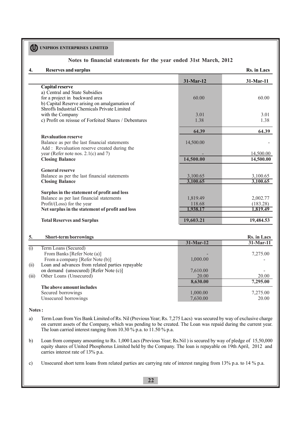## **Notes to financial statements for the year ended 31st March, 2012**

## **4. Reserves and surplus Rs. in Lacs**

|  |  | <b>Rs.</b> in Lacs |
|--|--|--------------------|
|--|--|--------------------|

|                                                       | $31-Mar-12$ | 31-Mar-11 |
|-------------------------------------------------------|-------------|-----------|
| <b>Capital reserve</b>                                |             |           |
| a) Central and State Subsidies                        |             |           |
| for a project in backward area                        | 60.00       | 60.00     |
| b) Capital Reserve arising on amalgamation of         |             |           |
| Shroffs Industrial Chemicals Private Limited          |             |           |
| with the Company                                      | 3.01        | 3.01      |
| c) Profit on reissue of Forfeited Shares / Debentures | 1.38        | 1.38      |
|                                                       | 64.39       | 64.39     |
| <b>Revaluation reserve</b>                            |             |           |
| Balance as per the last financial statements          | 14,500.00   |           |
| Add: Revaluation reserve created during the           |             |           |
| year (Refer note nos. $2.1(c)$ and 7)                 |             | 14,500.00 |
| <b>Closing Balance</b>                                | 14,500.00   | 14,500.00 |
| <b>General reserve</b>                                |             |           |
| Balance as per the last financial statements          | 3,100.65    | 3,100.65  |
| <b>Closing Balance</b>                                | 3,100.65    | 3,100.65  |
|                                                       |             |           |
| Surplus in the statement of profit and loss           |             |           |
| Balance as per last financial statements              | 1,819.49    | 2,002.77  |
| Profit/ $(Loss)$ for the year                         | 118.68      | (183.28)  |
| Net surplus in the statement of profit and loss       | .938.17     | 1,819.49  |
| <b>Total Reserves and Surplus</b>                     | 19,603.21   | 19,484.53 |

## **5.** Short-term borrowings **Rs.** in Lacs

| $\omega$ 1101 $\epsilon$ with $\omega$ 011 $\sigma$ $\theta$ $\theta$ |             |              |
|-----------------------------------------------------------------------|-------------|--------------|
|                                                                       | $31-Mar-12$ | $31$ -Mar-11 |
| Term Loans (Secured)                                                  |             |              |
| From Banks [Refer Note (a)]                                           |             | 7,275.00     |
| From a company [Refer Note (b)]                                       | 1,000.00    |              |
| Loan and advances from related parties repayable                      |             |              |
| on demand (unsecured) [Refer Note (c)]                                | 7,610.00    |              |
| Other Loans (Unsecured)                                               | 20.00       | 20.00        |
|                                                                       | 8,630.00    | 7,295.00     |
| The above amount includes                                             |             |              |
| Secured borrowings                                                    | 1,000.00    | 7,275.00     |
| Unsecured borrowings                                                  | 7,630.00    | 20.00        |
|                                                                       |             |              |

#### **Notes :**

- a) Term Loan from Yes Bank Limited of Rs. Nil (Previous Year; Rs. 7,275 Lacs) was secured by way of exclusive charge on current assets of the Company, which was pending to be created. The Loan was repaid during the current year. The loan carried interest ranging from 10.30  $\%$  p.a. to 11.50  $\%$  p.a.
- b) Loan from company amounting to Rs. 1,000 Lacs (Previous Year; Rs.Nil ) is secured by way of pledge of 15,50,000 equity shares of United Phosphorus Limited held by the Company. The loan is repayable on 19th April, 2012 and carries interest rate of 13% p.a.
- c) Unsecured short term loans from related parties are carrying rate of interest ranging from 13% p.a. to 14 % p.a.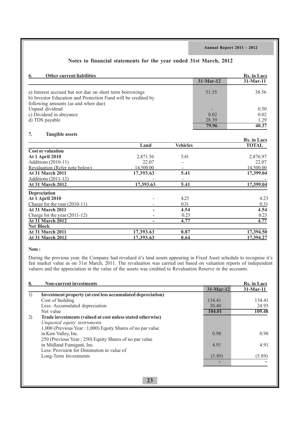| <b>Other current liabilities</b><br>6.                                                                                                                           |           |                 |             | <b>Rs.</b> in Lacs |
|------------------------------------------------------------------------------------------------------------------------------------------------------------------|-----------|-----------------|-------------|--------------------|
|                                                                                                                                                                  |           |                 | $31-Mar-12$ | 31-Mar-11          |
| a) Interest accrued but not due on short term borrowings<br>b) Investor Education and Protection Fund will be credited by<br>following amounts (as and when due) |           |                 | 51.55       | 38.56              |
| Unpaid dividend                                                                                                                                                  |           |                 |             | 0.50               |
| c) Dividend in abeyance                                                                                                                                          |           |                 | 0.02        | 0.02               |
| d) TDS payable                                                                                                                                                   |           |                 | 28.39       | 1.29               |
|                                                                                                                                                                  |           |                 | 79.96       | $\overline{40.37}$ |
| 7.<br><b>Tangible assets</b>                                                                                                                                     |           |                 |             |                    |
|                                                                                                                                                                  |           |                 |             | Rs. in Lacs        |
| <b>Cost or valuation</b>                                                                                                                                         | Land      | <b>Vehicles</b> |             | <b>TOTAL</b>       |
| <b>At 1 April 2010</b>                                                                                                                                           | 2,871.56  | 5.41            |             | 2,876.97           |
| Additions (2010-11)                                                                                                                                              | 22.07     |                 |             | 22.07              |
| Revaluation (Refer note below)                                                                                                                                   | 14,500.00 |                 |             | 14,500.00          |
| <b>At 31 March 2011</b>                                                                                                                                          | 17,393.63 | 5.41            |             | 17,399.04          |
| Additions (2011-12)                                                                                                                                              |           |                 |             |                    |
| <b>At 31 March 2012</b>                                                                                                                                          | 17,393.63 | 5.41            |             | 17,399.04          |
| <b>Depreciation</b>                                                                                                                                              |           |                 |             |                    |
| <b>At 1 April 2010</b>                                                                                                                                           |           | 4.23            |             | 4.23               |
| Charge for the year $(2010-11)$                                                                                                                                  |           | 0.31            |             | 0.31               |
| <b>At 31 March 2011</b>                                                                                                                                          |           | 4.54            |             | 4.54               |
| Charge for the year $(2011-12)$                                                                                                                                  |           | 0.23            |             | 0.23               |
| <b>At 31 March 2012</b>                                                                                                                                          |           | 4.77            |             | 4.77               |
| <b>Net Block</b>                                                                                                                                                 |           |                 |             |                    |
| At 31 March 2011                                                                                                                                                 | 17,393.63 | 0.87            |             | 17,394.50          |
| <b>At 31 March 2012</b>                                                                                                                                          | 17,393.63 | 0.64            |             | 17,394.27          |

#### **Note :**

During the previous year, the Company had revalued it's land assets appearing in Fixed Asset schedule to recognise it's fair market value as on 31st March, 2011. The revaluation was carried out based on valuation reports of independent valuers and the appreciation in the value of the assets was credited to Revaluation Reserve in the accounts.

| 8. | <b>Non-current investments</b>                              |             | Rs. in Lacs  |
|----|-------------------------------------------------------------|-------------|--------------|
|    |                                                             | $31-Mar-12$ | $31$ -Mar-11 |
| 1) | Investment property (at cost less accumulated depreciation) |             |              |
|    | Cost of building                                            | 134.41      | 134.41       |
|    | Less: Accumulated depreciation                              | 30.40       | 24.93        |
|    | Net value                                                   | 104.01      | 109.48       |
| 2) | Trade investments (valued at cost unless stated otherwise)  |             |              |
|    | Unquoted equity instruments                                 |             |              |
|    | 1,000 (Previous Year: 1,000) Equity Shares of no par value  |             |              |
|    | in Kaw Valley, Inc.                                         | 0.98        | 0.98         |
|    | 250 (Previous Year: 250) Equity Shares of no par value      |             |              |
|    | in Midland Fumigant, Inc.                                   | 4.91        | 4.91         |
|    | Less: Provision for Diminution in value of                  |             |              |
|    | Long-Term Investments                                       | (5.89)      | (5.89)       |
|    |                                                             |             |              |
|    |                                                             |             |              |
|    |                                                             |             |              |
|    | 23                                                          |             |              |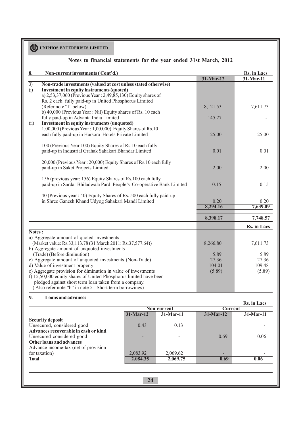|                 | Notes to financial statements for the year ended 31st March, 2012               |             |             |
|-----------------|---------------------------------------------------------------------------------|-------------|-------------|
| 8.              | Non-current investments (Cont'd.)                                               |             | Rs. in Lacs |
|                 |                                                                                 | $31-Mar-12$ | $31-Mar-11$ |
| $\overline{3)}$ | Non-trade investments (valued at cost unless stated otherwise)                  |             |             |
| (i)             | <b>Investment in equity instruments (quoted)</b>                                |             |             |
|                 | a) 2,53,37,060 (Previous Year: 2,49,85,130) Equity shares of                    |             |             |
|                 | Rs. 2 each fully paid-up in United Phosphorus Limited<br>(Refer note "f" below) |             |             |
|                 | b) 40,000 (Previous Year: Nil) Equity shares of Rs. 10 each                     | 8,121.53    | 7,611.73    |
|                 | fully paid-up in Advanta India Limited                                          | 145.27      |             |
| (ii)            | <b>Investment in equity instruments (unquoted)</b>                              |             |             |
|                 | 1,00,000 (Previous Year: 1,00,000) Equity Shares of Rs.10                       |             |             |
|                 | each fully paid-up in Harsora Hotels Private Limited                            | 25.00       | 25.00       |
|                 |                                                                                 |             |             |
|                 | 100 (Previous Year 100) Equity Shares of Rs.10 each fully                       |             |             |
|                 | paid-up in Industrial Grahak Sahakari Bhandar Limited                           | 0.01        | 0.01        |
|                 |                                                                                 |             |             |
|                 | 20,000 (Previous Year: 20,000) Equity Shares of Rs.10 each fully                |             |             |
|                 | paid-up in Saket Projects Limited                                               | 2.00        | 2.00        |
|                 | 156 (previous year: 156) Equity Shares of Rs.100 each fully                     |             |             |
|                 | paid-up in Sardar Bhiladwala Pardi People's Co-operative Bank Limited           | 0.15        | 0.15        |
|                 |                                                                                 |             |             |
|                 | 40 (Previous year: 40) Equity Shares of Rs. 500 each fully paid-up              |             |             |
|                 | in Shree Ganesh Khand Udyog Sahakari Mandi Limited                              | 0.20        | 0.20        |
|                 |                                                                                 | 8,294.16    | 7,639.09    |
|                 |                                                                                 | 8,398.17    | 7,748.57    |
|                 |                                                                                 |             | Rs. in Lacs |
| Notes:          |                                                                                 |             |             |
|                 | a) Aggregate amount of quoted investments                                       |             |             |
|                 | (Market value: Rs.33,113.78 (31 March 2011: Rs.37,577.64))                      | 8,266.80    | 7,611.73    |
|                 | b) Aggregate amount of unquoted investments                                     |             |             |
|                 | (Trade) (Before diminution)                                                     | 5.89        | 5.89        |
|                 | c) Aggregate amount of unquoted investments (Non-Trade)                         | 27.36       | 27.36       |
|                 | d) Value of investment property                                                 | 104.01      | 109.48      |
|                 | e) Aggregate provision for diminution in value of investments                   | (5.89)      | (5.89)      |
|                 | f) 15,50,000 equity shares of United Phosphorus limited have been               |             |             |
|                 | pledged against short term loan taken from a company.                           |             |             |
|                 | (Also refer note "b" in note 5 - Short term borrowings)                         |             |             |

## **9. Loans and advances**

| ╯<br>ромно мна им типесо             |             |             |             | <b>Rs.</b> in Lacs |
|--------------------------------------|-------------|-------------|-------------|--------------------|
|                                      |             | Non-current | Current     |                    |
|                                      | $31-Mar-12$ | 31-Mar-11   | $31-Mar-12$ | $31-Mar-11$        |
| <b>Security deposit</b>              |             |             |             |                    |
| Unsecured, considered good           | 0.43        | 0.13        |             |                    |
| Advances recoverable in cash or kind |             |             |             |                    |
| Unsecured considered good            |             |             | 0.69        | 0.06               |
| <b>Other loans and advances</b>      |             |             |             |                    |
| Advance income-tax (net of provision |             |             |             |                    |
| for taxation)                        | 2,083.92    | 2,069.62    | -           |                    |
| <b>Total</b>                         | 2,084.35    | 2,069.75    | 0.69        | 0.06               |
|                                      |             |             |             |                    |
|                                      |             |             |             |                    |
|                                      |             |             |             |                    |
|                                      | 24          |             |             |                    |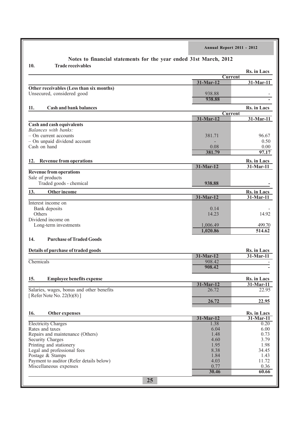|                                                                   | Annual Report 2011 - 2012 |                             |
|-------------------------------------------------------------------|---------------------------|-----------------------------|
| Notes to financial statements for the year ended 31st March, 2012 |                           |                             |
| 10.<br><b>Trade receivables</b>                                   |                           | Rs. in Lacs                 |
|                                                                   | <b>Current</b>            |                             |
|                                                                   | 31-Mar-12                 | 31-Mar-11                   |
| Other receivables (Less than six months)                          |                           |                             |
| Unsecured, considered good                                        | 938.88<br>938.88          |                             |
|                                                                   |                           |                             |
| <b>Cash and bank balances</b><br>11.                              |                           | Rs. in Lacs                 |
|                                                                   | <b>Current</b>            |                             |
|                                                                   | 31-Mar-12                 | 31-Mar-11                   |
| <b>Cash and cash equivalents</b><br>Balances with banks:          |                           |                             |
| - On current accounts                                             | 381.71                    | 96.67                       |
| - On unpaid dividend account                                      |                           | 0.50                        |
| Cash on hand                                                      | 0.08                      | 0.00                        |
|                                                                   | 381.79                    | 97.17                       |
|                                                                   |                           |                             |
| <b>Revenue from operations</b><br>12.                             |                           | Rs. in Lacs                 |
| <b>Revenue from operations</b>                                    | 31-Mar-12                 | 31-Mar-11                   |
| Sale of products                                                  |                           |                             |
| Traded goods - chemical                                           | 938.88                    |                             |
|                                                                   |                           |                             |
| 13.<br>Other income                                               |                           | Rs. in Lacs                 |
|                                                                   | 31-Mar-12                 | 31-Mar-11                   |
| Interest income on                                                | 0.14                      |                             |
| Bank deposits<br>Others                                           | 14.23                     | 14.92                       |
| Dividend income on                                                |                           |                             |
| Long-term investments                                             | 1,006.49                  | 499.70                      |
|                                                                   | 1,020.86                  | 514.62                      |
|                                                                   |                           |                             |
| <b>Purchase of Traded Goods</b><br>14.                            |                           |                             |
|                                                                   |                           |                             |
| Details of purchase of traded goods                               | 31-Mar-12                 | Rs. in Lacs<br>$31$ -Mar-11 |
| Chemicals                                                         | 908.42                    |                             |
|                                                                   | 908.42                    |                             |
|                                                                   |                           |                             |
| <b>Employee benefits expense</b><br>15.                           |                           | Rs. in Lacs                 |
|                                                                   | 31-Mar-12                 | $31-Mar-11$                 |
| Salaries, wages, bonus and other benefits                         | 26.72                     | 22.95                       |
| [Refer Note No. 22(b)(8)]                                         |                           |                             |
|                                                                   | 26.72                     | 22.95                       |
|                                                                   |                           |                             |
| Other expenses<br>16.                                             |                           | Rs. in Lacs                 |
|                                                                   | 31-Mar-12                 | $31$ -Mar-11                |
| <b>Electricity Charges</b><br>Rates and taxes                     | 1.38                      | 0.20<br>6.00                |
| Repairs and maintenance (Others)                                  | 6.04<br>1.48              | 0.73                        |
| Security Charges                                                  | 4.60                      | 3.79                        |
| Printing and stationery                                           | 1.95                      | 1.98                        |
| Legal and professional fees                                       | 8.38                      | 34.45                       |
| Postage & Stamps                                                  | 1.84                      | 1.43                        |
| Payment to auditor (Refer details below)                          | 4.03                      | 11.72                       |
| Miscellaneous expenses                                            | 0.77                      | 0.36                        |
|                                                                   | 30.46                     | 60.66                       |
| 25                                                                |                           |                             |
|                                                                   |                           |                             |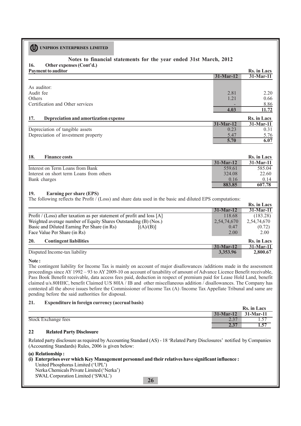## **16. Other expenses (Cont'd.) Notes to financial statements for the year ended 31st March, 2012**

|              | Rs. in Lacs  |
|--------------|--------------|
| $31$ -Mar-12 | $31$ -Mar-11 |
|              |              |
|              |              |
| 2.81         | 2.20         |
| 1.21         | 0.66         |
|              | 8.86         |
| 4.03         | 11.72        |
|              | Rs. in Lacs  |
| $31-Mar-12$  | $31-Mar-11$  |
| 0.23         | 0.31         |
| 5.47         | 5.76         |
| 5.70         | 6.07         |
|              |              |

| 18.<br><b>Finance costs</b>              |             | <b>Rs.</b> in Lacs |
|------------------------------------------|-------------|--------------------|
|                                          | $31-Mar-12$ | $31-Mar-11$        |
| Interest on Term Loans from Bank         | 559.61      | 585.04             |
| Interest on short term Loans from others | 324.08      | 22.60              |
| Bank charges                             | 0.16        | 0 <sup>14</sup>    |
|                                          | 883.85      | 607.78             |

 **Rs. in Lacs**

## **19. Earning per share (EPS)**

The following reflects the Profit  $/($  (Loss) and share data used in the basic and diluted EPS computations:

|                                                                        |             | 185. Ш Lats        |
|------------------------------------------------------------------------|-------------|--------------------|
|                                                                        | $31-Mar-12$ | $31-Mar-11$        |
| Profit / (Loss) after taxation as per statement of profit and loss [A] | 118.68      | (183.28)           |
| Weighted average number of Equity Shares Outstanding (B) (Nos.)        | 2,54,74,670 | 2,54,74,670        |
| Basic and Diluted Earning Per Share (in Rs)<br>[(A)/(B)]               | 0.47        | (0.72)             |
| Face Value Per Share (in Rs)                                           | 2.00        | 2.00               |
| <b>Contingent liabilities</b><br><b>20.</b>                            |             | <b>Rs.</b> in Lacs |
|                                                                        | $31-Mar-12$ | 31-Mar-11          |
| Disputed Income-tax liability                                          | 3,353.96    | 2,800.67           |
|                                                                        |             |                    |

#### **Note :**

The contingent liability for Income Tax is mainly on account of major disallowances /additions made in the assessment proceedings since AY 1992 – 93 to AY 2009-10 on account of taxability of amount of Advance Licence Benefit receivable, Pass Book Benefit receivable, data access fees paid, deduction in respect of premium paid for Lease Hold Land, benefit claimed u/s.80HHC, benefit Claimed U/S 80IA / IB and other miscellaneous addition  $\overline{\overline{I}}$  disallowances. The Company has contested all the above issues before the Commissioner of Income Tax (A) /Income Tax Appellate Tribunal and same are pending before the said authorities for disposal.

## **21. Expenditure in foreign currency (accrual basis)**

|                     |                  | Rs. in Lacs |
|---------------------|------------------|-------------|
|                     | $31-Mar-12$      | $31-Mar-11$ |
| Stock Exchange fees | $\overline{a}$ . | $\cdot$     |
|                     | $\overline{a}$ . | 1. . J      |

## **22 Related Party Disclosure**

Related party disclosure as required by Accounting Standard (AS) - 18 'Related Party Disclosures' notified by Companies (Accounting Standards) Rules, 2006 is given below:

## **(a) Relationship :**

### **(i) Enterprises over which Key Management personnel and their relatives have significant influence :** United Phosphorus Limited ('UPL') Nerka Chemicals Private Limited ('Nerka') SWAL Corporation Limited ('SWAL')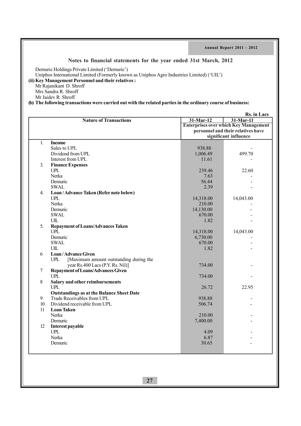## **Notes to financial statements for the year ended 31st March, 2012**

Demuric Holdings Private Limited ('Demuric')

Uniphos International Limited (Formerly known as Uniphos Agro Industries Limited) ('UIL')

## **(ii)Key Management Personnel and their relatives :**

Mr Rajanikant D. Shroff Mrs Sandra R. Shroff

Mr Jaidev R. Shroff

**(b) The following transactions were carried out with the related parties in the ordinary course of business:**

| <b>Enterprises over which Key Management</b><br>personnel and their relatives have<br>significant influence<br>$\mathbf{1}$ .<br><b>Income</b><br>Sales to UPL<br>938.88<br>Dividend from UPL<br>499.70<br>1,006.49<br>Interest from UPL<br>11.61<br><b>Finance Expenses</b><br><b>UPL</b><br>239.46<br>22.60<br>Nerka<br>7.63<br>56.44<br>Demuric<br><b>SWAL</b><br>2.39<br>Loan/Advance Taken (Refer note below)<br><b>UPL</b><br>14,318.00<br>14,043.00<br>Nerka<br>210.00<br>Demuric<br>14,130.00<br><b>SWAL</b><br>670.00<br>UIL<br>1.82<br>5.<br><b>Repayment of Loans/Advances Taken</b><br><b>UPL</b><br>14,318.00<br>14,043.00<br>Demuric<br>6,730.00<br><b>SWAL</b><br>670.00<br>UIL<br>1.82<br>Loan/Advance Given<br>6<br><b>UPL</b><br>[Maximum amount outstanding during the<br>year Rs.400 Lacs (P.Y. Rs. Nil)]<br>734.00<br>$\overline{7}$<br><b>Repayment of Loans/Advances Given</b><br><b>UPL</b><br>734.00<br>8<br>Salary and other reimbursements<br><b>UPL</b><br>22.95<br>26.72<br><b>Outstandings as at the Balance Sheet Date</b><br>9<br>Trade Receivables from UPL<br>938.88<br>Dividend receivable from UPL<br>10<br>506.74<br>11<br><b>Loan Taken</b><br>Nerka<br>210.00<br>Demuric<br>7,400.00<br>12<br>Interest payable<br>$U\!P\!L$<br>4.09<br>Nerka<br>6.87<br>Demuric<br>30.65 |    |                               |           | Rs. in Lacs |
|-----------------------------------------------------------------------------------------------------------------------------------------------------------------------------------------------------------------------------------------------------------------------------------------------------------------------------------------------------------------------------------------------------------------------------------------------------------------------------------------------------------------------------------------------------------------------------------------------------------------------------------------------------------------------------------------------------------------------------------------------------------------------------------------------------------------------------------------------------------------------------------------------------------------------------------------------------------------------------------------------------------------------------------------------------------------------------------------------------------------------------------------------------------------------------------------------------------------------------------------------------------------------------------------------------------------|----|-------------------------------|-----------|-------------|
|                                                                                                                                                                                                                                                                                                                                                                                                                                                                                                                                                                                                                                                                                                                                                                                                                                                                                                                                                                                                                                                                                                                                                                                                                                                                                                                 |    | <b>Nature of Transactions</b> | 31-Mar-12 | 31-Mar-11   |
|                                                                                                                                                                                                                                                                                                                                                                                                                                                                                                                                                                                                                                                                                                                                                                                                                                                                                                                                                                                                                                                                                                                                                                                                                                                                                                                 |    |                               |           |             |
|                                                                                                                                                                                                                                                                                                                                                                                                                                                                                                                                                                                                                                                                                                                                                                                                                                                                                                                                                                                                                                                                                                                                                                                                                                                                                                                 |    |                               |           |             |
|                                                                                                                                                                                                                                                                                                                                                                                                                                                                                                                                                                                                                                                                                                                                                                                                                                                                                                                                                                                                                                                                                                                                                                                                                                                                                                                 |    |                               |           |             |
|                                                                                                                                                                                                                                                                                                                                                                                                                                                                                                                                                                                                                                                                                                                                                                                                                                                                                                                                                                                                                                                                                                                                                                                                                                                                                                                 |    |                               |           |             |
|                                                                                                                                                                                                                                                                                                                                                                                                                                                                                                                                                                                                                                                                                                                                                                                                                                                                                                                                                                                                                                                                                                                                                                                                                                                                                                                 |    |                               |           |             |
|                                                                                                                                                                                                                                                                                                                                                                                                                                                                                                                                                                                                                                                                                                                                                                                                                                                                                                                                                                                                                                                                                                                                                                                                                                                                                                                 |    |                               |           |             |
|                                                                                                                                                                                                                                                                                                                                                                                                                                                                                                                                                                                                                                                                                                                                                                                                                                                                                                                                                                                                                                                                                                                                                                                                                                                                                                                 |    |                               |           |             |
|                                                                                                                                                                                                                                                                                                                                                                                                                                                                                                                                                                                                                                                                                                                                                                                                                                                                                                                                                                                                                                                                                                                                                                                                                                                                                                                 | 3. |                               |           |             |
|                                                                                                                                                                                                                                                                                                                                                                                                                                                                                                                                                                                                                                                                                                                                                                                                                                                                                                                                                                                                                                                                                                                                                                                                                                                                                                                 |    |                               |           |             |
|                                                                                                                                                                                                                                                                                                                                                                                                                                                                                                                                                                                                                                                                                                                                                                                                                                                                                                                                                                                                                                                                                                                                                                                                                                                                                                                 |    |                               |           |             |
|                                                                                                                                                                                                                                                                                                                                                                                                                                                                                                                                                                                                                                                                                                                                                                                                                                                                                                                                                                                                                                                                                                                                                                                                                                                                                                                 |    |                               |           |             |
|                                                                                                                                                                                                                                                                                                                                                                                                                                                                                                                                                                                                                                                                                                                                                                                                                                                                                                                                                                                                                                                                                                                                                                                                                                                                                                                 |    |                               |           |             |
|                                                                                                                                                                                                                                                                                                                                                                                                                                                                                                                                                                                                                                                                                                                                                                                                                                                                                                                                                                                                                                                                                                                                                                                                                                                                                                                 | 4. |                               |           |             |
|                                                                                                                                                                                                                                                                                                                                                                                                                                                                                                                                                                                                                                                                                                                                                                                                                                                                                                                                                                                                                                                                                                                                                                                                                                                                                                                 |    |                               |           |             |
|                                                                                                                                                                                                                                                                                                                                                                                                                                                                                                                                                                                                                                                                                                                                                                                                                                                                                                                                                                                                                                                                                                                                                                                                                                                                                                                 |    |                               |           |             |
|                                                                                                                                                                                                                                                                                                                                                                                                                                                                                                                                                                                                                                                                                                                                                                                                                                                                                                                                                                                                                                                                                                                                                                                                                                                                                                                 |    |                               |           |             |
|                                                                                                                                                                                                                                                                                                                                                                                                                                                                                                                                                                                                                                                                                                                                                                                                                                                                                                                                                                                                                                                                                                                                                                                                                                                                                                                 |    |                               |           |             |
|                                                                                                                                                                                                                                                                                                                                                                                                                                                                                                                                                                                                                                                                                                                                                                                                                                                                                                                                                                                                                                                                                                                                                                                                                                                                                                                 |    |                               |           |             |
|                                                                                                                                                                                                                                                                                                                                                                                                                                                                                                                                                                                                                                                                                                                                                                                                                                                                                                                                                                                                                                                                                                                                                                                                                                                                                                                 |    |                               |           |             |
|                                                                                                                                                                                                                                                                                                                                                                                                                                                                                                                                                                                                                                                                                                                                                                                                                                                                                                                                                                                                                                                                                                                                                                                                                                                                                                                 |    |                               |           |             |
|                                                                                                                                                                                                                                                                                                                                                                                                                                                                                                                                                                                                                                                                                                                                                                                                                                                                                                                                                                                                                                                                                                                                                                                                                                                                                                                 |    |                               |           |             |
|                                                                                                                                                                                                                                                                                                                                                                                                                                                                                                                                                                                                                                                                                                                                                                                                                                                                                                                                                                                                                                                                                                                                                                                                                                                                                                                 |    |                               |           |             |
|                                                                                                                                                                                                                                                                                                                                                                                                                                                                                                                                                                                                                                                                                                                                                                                                                                                                                                                                                                                                                                                                                                                                                                                                                                                                                                                 |    |                               |           |             |
|                                                                                                                                                                                                                                                                                                                                                                                                                                                                                                                                                                                                                                                                                                                                                                                                                                                                                                                                                                                                                                                                                                                                                                                                                                                                                                                 |    |                               |           |             |
|                                                                                                                                                                                                                                                                                                                                                                                                                                                                                                                                                                                                                                                                                                                                                                                                                                                                                                                                                                                                                                                                                                                                                                                                                                                                                                                 |    |                               |           |             |
|                                                                                                                                                                                                                                                                                                                                                                                                                                                                                                                                                                                                                                                                                                                                                                                                                                                                                                                                                                                                                                                                                                                                                                                                                                                                                                                 |    |                               |           |             |
|                                                                                                                                                                                                                                                                                                                                                                                                                                                                                                                                                                                                                                                                                                                                                                                                                                                                                                                                                                                                                                                                                                                                                                                                                                                                                                                 |    |                               |           |             |
|                                                                                                                                                                                                                                                                                                                                                                                                                                                                                                                                                                                                                                                                                                                                                                                                                                                                                                                                                                                                                                                                                                                                                                                                                                                                                                                 |    |                               |           |             |
|                                                                                                                                                                                                                                                                                                                                                                                                                                                                                                                                                                                                                                                                                                                                                                                                                                                                                                                                                                                                                                                                                                                                                                                                                                                                                                                 |    |                               |           |             |
|                                                                                                                                                                                                                                                                                                                                                                                                                                                                                                                                                                                                                                                                                                                                                                                                                                                                                                                                                                                                                                                                                                                                                                                                                                                                                                                 |    |                               |           |             |
|                                                                                                                                                                                                                                                                                                                                                                                                                                                                                                                                                                                                                                                                                                                                                                                                                                                                                                                                                                                                                                                                                                                                                                                                                                                                                                                 |    |                               |           |             |
|                                                                                                                                                                                                                                                                                                                                                                                                                                                                                                                                                                                                                                                                                                                                                                                                                                                                                                                                                                                                                                                                                                                                                                                                                                                                                                                 |    |                               |           |             |
|                                                                                                                                                                                                                                                                                                                                                                                                                                                                                                                                                                                                                                                                                                                                                                                                                                                                                                                                                                                                                                                                                                                                                                                                                                                                                                                 |    |                               |           |             |
|                                                                                                                                                                                                                                                                                                                                                                                                                                                                                                                                                                                                                                                                                                                                                                                                                                                                                                                                                                                                                                                                                                                                                                                                                                                                                                                 |    |                               |           |             |
|                                                                                                                                                                                                                                                                                                                                                                                                                                                                                                                                                                                                                                                                                                                                                                                                                                                                                                                                                                                                                                                                                                                                                                                                                                                                                                                 |    |                               |           |             |
|                                                                                                                                                                                                                                                                                                                                                                                                                                                                                                                                                                                                                                                                                                                                                                                                                                                                                                                                                                                                                                                                                                                                                                                                                                                                                                                 |    |                               |           |             |
|                                                                                                                                                                                                                                                                                                                                                                                                                                                                                                                                                                                                                                                                                                                                                                                                                                                                                                                                                                                                                                                                                                                                                                                                                                                                                                                 |    |                               |           |             |
|                                                                                                                                                                                                                                                                                                                                                                                                                                                                                                                                                                                                                                                                                                                                                                                                                                                                                                                                                                                                                                                                                                                                                                                                                                                                                                                 |    |                               |           |             |
|                                                                                                                                                                                                                                                                                                                                                                                                                                                                                                                                                                                                                                                                                                                                                                                                                                                                                                                                                                                                                                                                                                                                                                                                                                                                                                                 |    |                               |           |             |
|                                                                                                                                                                                                                                                                                                                                                                                                                                                                                                                                                                                                                                                                                                                                                                                                                                                                                                                                                                                                                                                                                                                                                                                                                                                                                                                 |    |                               |           |             |
|                                                                                                                                                                                                                                                                                                                                                                                                                                                                                                                                                                                                                                                                                                                                                                                                                                                                                                                                                                                                                                                                                                                                                                                                                                                                                                                 |    |                               |           |             |
|                                                                                                                                                                                                                                                                                                                                                                                                                                                                                                                                                                                                                                                                                                                                                                                                                                                                                                                                                                                                                                                                                                                                                                                                                                                                                                                 |    |                               |           |             |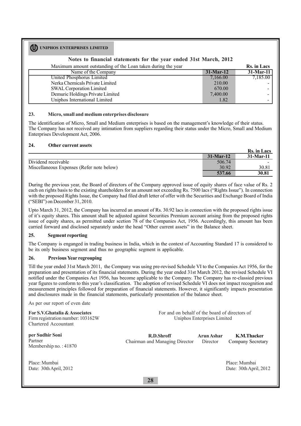## **Notes to financial statements for the year ended 31st March, 2012**

Maximum amount outstanding of the Loan taken during the year Rs. in Lacs

| <b>THUAILIGHT GHOGHT OUGHINGING OF THE LOGHT HIREH GUILING THE YOUT</b> |             | <b>TWO III LAVE</b> |
|-------------------------------------------------------------------------|-------------|---------------------|
| Name of the Company                                                     | $31-Mar-12$ | $31-Mar-11$         |
| United Phosphorus Limited                                               | 7,166.00    | 7,185.00            |
| Nerka Chemicals Private Limited                                         | 210.00      |                     |
| <b>SWAL Corporation Limited</b>                                         | 670.00      |                     |
| Demuric Holdings Private Limited                                        | 7,400.00    |                     |
| Uniphos International Limited                                           | 1.82        |                     |

#### **23. Micro, small and medium enterprises disclosure**

The identification of Micro, Small and Medium enterprises is based on the management's knowledge of their status. The Company has not received any intimation from suppliers regarding their status under the Micro, Small and Medium Enterprises Development Act, 2006.

## **24. Other current assets**

|                                           |              | Rs. in Lacs |
|-------------------------------------------|--------------|-------------|
|                                           | $31$ -Mar-12 | $31-Mar-11$ |
| Dividend receivable                       | 506.74       |             |
| Miscellaneous Expenses (Refer note below) | 30.92        | 30.81       |
|                                           | 537.66       | 30.81       |

During the previous year, the Board of directors of the Company approved issue of equity shares of face value of Rs. 2 each on rights basis to the existing shareholders for an amount not exceeding Rs. 7500 lacs ("Rights Issue"). In connection with the proposed Rights Issue, the Company had filed draft letter of offer with the Securities and Exchange Board of India ("SEBI") on December 31, 2010.

Upto March 31, 2012, the Company has incurred an amount of Rs. 30.92 lacs in connection with the proposed rights issue of it's equity shares. This amount shall be adjusted against Securities Premium account arising from the proposed rights issue of equity shares, as permitted under scetion 78 of the Companies Act, 1956. Accordingly, this amount has been carried forward and disclosed separately under the head "Other current assets" in the Balance sheet.

## **25. Segment reporting**

The Company is enganged in trading business in India, which in the context of Accounting Standard 17 is considered to be its only business segment and thus no geographic segment is applicable.

## **26. Previous Year regrouping**

Till the year ended 31st March 2011, the Company was using pre-revised Schedule VI to the Companies Act 1956, for the preparation and presentation of its financial statements. During the year ended 31st March 2012, the revised Schedule VI notified under the Companies Act 1956, has become applicable to the Company. The Company has re-classied previous year figures to conform to this year's classification. The adoption of revised Schedule VI does not impact recognition and measurement principles followed for preparation of financial statements. However, it significantly impacts presentation and disclosures made in the financial statements, particularly presentation of the balance sheet.

As per our report of even date

**For S.V.Ghatalia & Associates** Firm registration number: 103162W Chartered Accountant For and on behalf of the board of directors of Uniphos Enterprises Limited

**per Sudhir Soni** Partner Membership no. : 41870

Place: Mumbai Date: 30th April, 2012

**R.D.Shroff** Chairman and Managing Director **Arun Ashar** Director **K.M.Thacker** Company Secretary

> Place: Mumbai Date: 30th April, 2012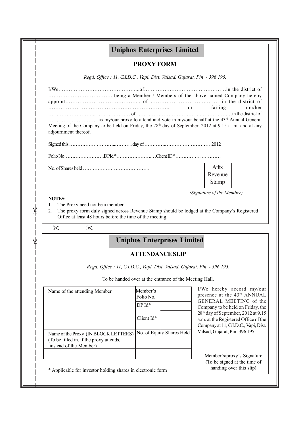|                              |                                                                                             | <b>Uniphos Enterprises Limited</b>                                        |                                                                                                                                                                                                                                                                                             |
|------------------------------|---------------------------------------------------------------------------------------------|---------------------------------------------------------------------------|---------------------------------------------------------------------------------------------------------------------------------------------------------------------------------------------------------------------------------------------------------------------------------------------|
|                              |                                                                                             | <b>PROXY FORM</b>                                                         |                                                                                                                                                                                                                                                                                             |
|                              |                                                                                             | Regd. Office : 11, G.I.D.C., Vapi, Dist. Valsad, Gujarat, Pin .- 396 195. |                                                                                                                                                                                                                                                                                             |
|                              |                                                                                             |                                                                           |                                                                                                                                                                                                                                                                                             |
| adjournment thereof.         |                                                                                             |                                                                           | him/her<br>Meeting of the Company to be held on Friday, the 28 <sup>th</sup> day of September, 2012 at 9.15 a.m. and at any                                                                                                                                                                 |
|                              |                                                                                             |                                                                           |                                                                                                                                                                                                                                                                                             |
|                              |                                                                                             |                                                                           |                                                                                                                                                                                                                                                                                             |
|                              |                                                                                             |                                                                           | Affix<br>Revenue<br><b>Stamp</b>                                                                                                                                                                                                                                                            |
|                              |                                                                                             |                                                                           |                                                                                                                                                                                                                                                                                             |
| <b>NOTES:</b><br>1.<br>2.    | The Proxy need not be a member.<br>Office at least 48 hours before the time of the meeting. |                                                                           | (Signature of the Member)<br>The proxy form duly signed across Revenue Stamp should be lodged at the Company's Registered                                                                                                                                                                   |
|                              |                                                                                             | <b>Uniphos Enterprises Limited</b>                                        |                                                                                                                                                                                                                                                                                             |
|                              |                                                                                             | <b>ATTENDANCE SLIP</b>                                                    |                                                                                                                                                                                                                                                                                             |
|                              |                                                                                             | Regd. Office : 11, G.I.D.C., Vapi, Dist. Valsad, Gujarat, Pin .- 396 195. |                                                                                                                                                                                                                                                                                             |
|                              |                                                                                             | To be handed over at the entrance of the Meeting Hall.                    |                                                                                                                                                                                                                                                                                             |
| Name of the attending Member |                                                                                             | Member's<br>Folio No.<br>$DPId^*$                                         |                                                                                                                                                                                                                                                                                             |
|                              |                                                                                             | Client Id*                                                                |                                                                                                                                                                                                                                                                                             |
| instead of the Member)       | Name of the Proxy (IN BLOCK LETTERS)<br>(To be filled in, if the proxy attends,             | No. of Equity Shares Held                                                 | I/We hereby accord my/our<br>presence at the 43rd ANNUAL<br>GENERAL MEETING of the<br>Company to be held on Friday, the<br>28 <sup>th</sup> day of September, 2012 at 9.15<br>a.m. at the Registered Office of the<br>Company at 11, G.I.D.C., Vapi, Dist.<br>Valsad, Gujarat, Pin-396 195. |